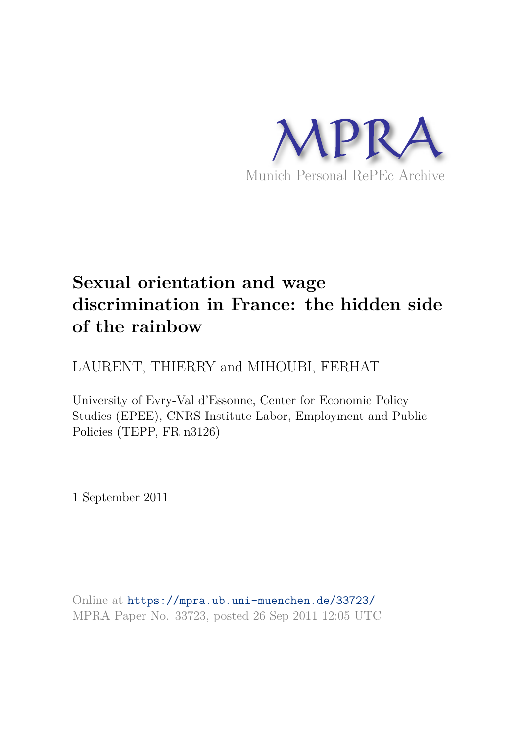

# **Sexual orientation and wage discrimination in France: the hidden side of the rainbow**

LAURENT, THIERRY and MIHOUBI, FERHAT

University of Evry-Val d'Essonne, Center for Economic Policy Studies (EPEE), CNRS Institute Labor, Employment and Public Policies (TEPP, FR n3126)

1 September 2011

Online at https://mpra.ub.uni-muenchen.de/33723/ MPRA Paper No. 33723, posted 26 Sep 2011 12:05 UTC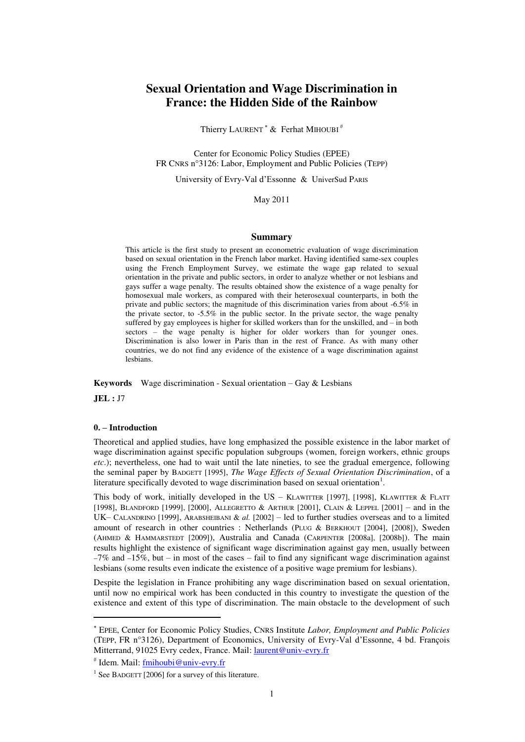# **Sexual Orientation and Wage Discrimination in France: the Hidden Side of the Rainbow**

Thierry LAURENT<sup>\*</sup>  $&$  Ferhat MIHOUBI<sup>#</sup>

Center for Economic Policy Studies (EPEE) FR CNRS n°3126: Labor, Employment and Public Policies (TEPP)

University of Evry-Val d'Essonne & UniverSud PARIS

# May 2011

#### **Summary**

This article is the first study to present an econometric evaluation of wage discrimination based on sexual orientation in the French labor market. Having identified same-sex couples using the French Employment Survey, we estimate the wage gap related to sexual orientation in the private and public sectors, in order to analyze whether or not lesbians and gays suffer a wage penalty. The results obtained show the existence of a wage penalty for homosexual male workers, as compared with their heterosexual counterparts, in both the private and public sectors; the magnitude of this discrimination varies from about -6.5% in the private sector, to -5.5% in the public sector. In the private sector, the wage penalty suffered by gay employees is higher for skilled workers than for the unskilled, and – in both sectors – the wage penalty is higher for older workers than for younger ones. Discrimination is also lower in Paris than in the rest of France. As with many other countries, we do not find any evidence of the existence of a wage discrimination against lesbians.

**Keywords** Wage discrimination - Sexual orientation – Gay & Lesbians

**JEL :** J7

 $\overline{a}$ 

# **0. – Introduction**

Theoretical and applied studies, have long emphasized the possible existence in the labor market of wage discrimination against specific population subgroups (women, foreign workers, ethnic groups *etc*.); nevertheless, one had to wait until the late nineties, to see the gradual emergence, following the seminal paper by BADGETT [1995], *The Wage Effects of Sexual Orientation Discrimination*, of a literature specifically devoted to wage discrimination based on sexual orientation<sup>1</sup>.

This body of work, initially developed in the US – KLAWITTER [1997], [1998], KLAWITTER & FLATT [1998], BLANDFORD [1999], [2000], ALLEGRETTO & ARTHUR [2001], CLAIN & LEPPEL [2001] – and in the UK– CALANDRINO [1999], ARABSHEIBANI & *al.* [2002] – led to further studies overseas and to a limited amount of research in other countries : Netherlands (PLUG & BERKHOUT [2004], [2008]), Sweden (AHMED & HAMMARSTEDT [2009]), Australia and Canada (CARPENTER [2008a], [2008b]). The main results highlight the existence of significant wage discrimination against gay men, usually between  $-7\%$  and  $-15\%$ , but – in most of the cases – fail to find any significant wage discrimination against lesbians (some results even indicate the existence of a positive wage premium for lesbians).

Despite the legislation in France prohibiting any wage discrimination based on sexual orientation, until now no empirical work has been conducted in this country to investigate the question of the existence and extent of this type of discrimination. The main obstacle to the development of such

# Idem. Mail: fmihoubi@univ-evry.fr

 EPEE, Center for Economic Policy Studies, CNRS Institute *Labor, Employment and Public Policies* (TEPP, FR n°3126), Department of Economics, University of Evry-Val d'Essonne, 4 bd. François Mitterrand, 91025 Evry cedex, France. Mail: *laurent@univ-evry.fr* 

<sup>&</sup>lt;sup>1</sup> See BADGETT [2006] for a survey of this literature.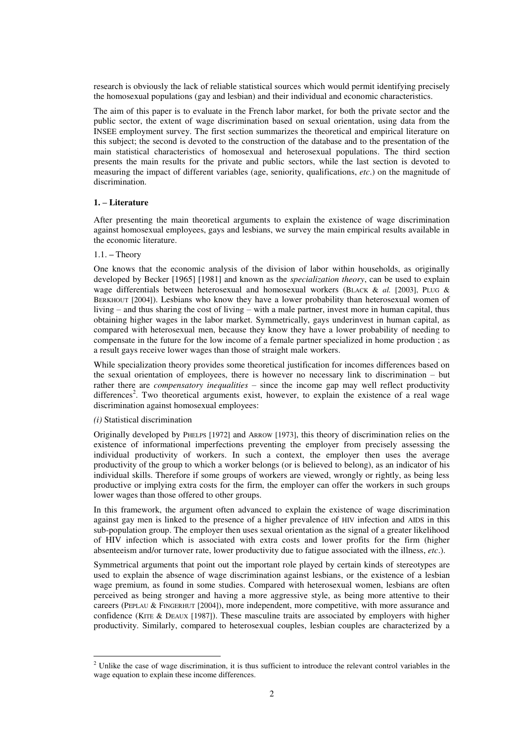research is obviously the lack of reliable statistical sources which would permit identifying precisely the homosexual populations (gay and lesbian) and their individual and economic characteristics.

The aim of this paper is to evaluate in the French labor market, for both the private sector and the public sector, the extent of wage discrimination based on sexual orientation, using data from the INSEE employment survey. The first section summarizes the theoretical and empirical literature on this subject; the second is devoted to the construction of the database and to the presentation of the main statistical characteristics of homosexual and heterosexual populations. The third section presents the main results for the private and public sectors, while the last section is devoted to measuring the impact of different variables (age, seniority, qualifications, *etc*.) on the magnitude of discrimination.

# **1. – Literature**

After presenting the main theoretical arguments to explain the existence of wage discrimination against homosexual employees, gays and lesbians, we survey the main empirical results available in the economic literature.

# 1.1. **–** Theory

One knows that the economic analysis of the division of labor within households, as originally developed by Becker [1965] [1981] and known as the *specialization theory*, can be used to explain wage differentials between heterosexual and homosexual workers (BLACK & *al.* [2003], PLUG & BERKHOUT [2004]). Lesbians who know they have a lower probability than heterosexual women of living – and thus sharing the cost of living – with a male partner, invest more in human capital, thus obtaining higher wages in the labor market. Symmetrically, gays underinvest in human capital, as compared with heterosexual men, because they know they have a lower probability of needing to compensate in the future for the low income of a female partner specialized in home production ; as a result gays receive lower wages than those of straight male workers.

While specialization theory provides some theoretical justification for incomes differences based on the sexual orientation of employees, there is however no necessary link to discrimination – but rather there are *compensatory inequalities* – since the income gap may well reflect productivity differences<sup>2</sup>. Two theoretical arguments exist, however, to explain the existence of a real wage discrimination against homosexual employees:

#### *(i)* Statistical discrimination

 $\overline{a}$ 

Originally developed by PHELPS [1972] and ARROW [1973], this theory of discrimination relies on the existence of informational imperfections preventing the employer from precisely assessing the individual productivity of workers. In such a context, the employer then uses the average productivity of the group to which a worker belongs (or is believed to belong), as an indicator of his individual skills. Therefore if some groups of workers are viewed, wrongly or rightly, as being less productive or implying extra costs for the firm, the employer can offer the workers in such groups lower wages than those offered to other groups.

In this framework, the argument often advanced to explain the existence of wage discrimination against gay men is linked to the presence of a higher prevalence of HIV infection and AIDS in this sub-population group. The employer then uses sexual orientation as the signal of a greater likelihood of HIV infection which is associated with extra costs and lower profits for the firm (higher absenteeism and/or turnover rate, lower productivity due to fatigue associated with the illness, *etc*.).

Symmetrical arguments that point out the important role played by certain kinds of stereotypes are used to explain the absence of wage discrimination against lesbians, or the existence of a lesbian wage premium, as found in some studies. Compared with heterosexual women, lesbians are often perceived as being stronger and having a more aggressive style, as being more attentive to their careers (PEPLAU & FINGERHUT [2004]), more independent, more competitive, with more assurance and confidence (KITE & DEAUX [1987]). These masculine traits are associated by employers with higher productivity. Similarly, compared to heterosexual couples, lesbian couples are characterized by a

<sup>&</sup>lt;sup>2</sup> Unlike the case of wage discrimination, it is thus sufficient to introduce the relevant control variables in the wage equation to explain these income differences.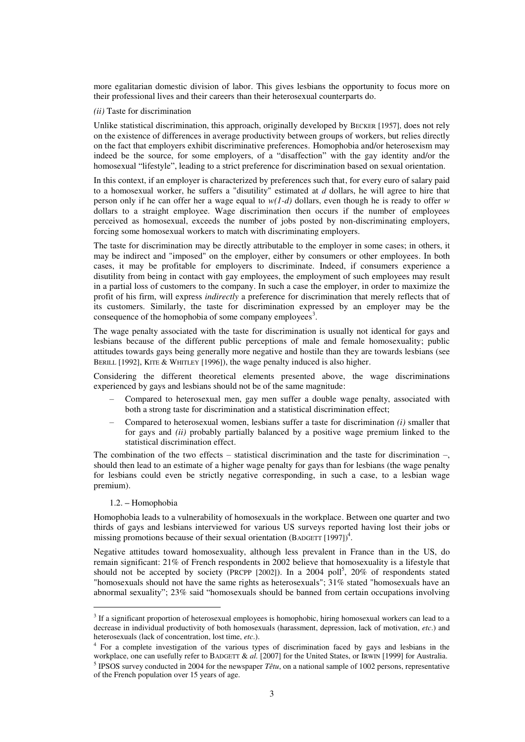more egalitarian domestic division of labor. This gives lesbians the opportunity to focus more on their professional lives and their careers than their heterosexual counterparts do.

# *(ii)* Taste for discrimination

Unlike statistical discrimination, this approach, originally developed by BECKER [1957], does not rely on the existence of differences in average productivity between groups of workers, but relies directly on the fact that employers exhibit discriminative preferences. Homophobia and/or heterosexism may indeed be the source, for some employers, of a "disaffection" with the gay identity and/or the homosexual "lifestyle", leading to a strict preference for discrimination based on sexual orientation.

In this context, if an employer is characterized by preferences such that, for every euro of salary paid to a homosexual worker, he suffers a "disutility" estimated at *d* dollars, he will agree to hire that person only if he can offer her a wage equal to *w(1-d)* dollars, even though he is ready to offer *w* dollars to a straight employee. Wage discrimination then occurs if the number of employees perceived as homosexual, exceeds the number of jobs posted by non-discriminating employers, forcing some homosexual workers to match with discriminating employers.

The taste for discrimination may be directly attributable to the employer in some cases; in others, it may be indirect and "imposed" on the employer, either by consumers or other employees. In both cases, it may be profitable for employers to discriminate. Indeed, if consumers experience a disutility from being in contact with gay employees, the employment of such employees may result in a partial loss of customers to the company. In such a case the employer, in order to maximize the profit of his firm, will express *indirectly* a preference for discrimination that merely reflects that of its customers. Similarly, the taste for discrimination expressed by an employer may be the consequence of the homophobia of some company employees<sup>3</sup>.

The wage penalty associated with the taste for discrimination is usually not identical for gays and lesbians because of the different public perceptions of male and female homosexuality; public attitudes towards gays being generally more negative and hostile than they are towards lesbians (see BERILL [1992], KITE & WHITLEY [1996]), the wage penalty induced is also higher.

Considering the different theoretical elements presented above, the wage discriminations experienced by gays and lesbians should not be of the same magnitude:

- Compared to heterosexual men, gay men suffer a double wage penalty, associated with both a strong taste for discrimination and a statistical discrimination effect;
- Compared to heterosexual women, lesbians suffer a taste for discrimination *(i)* smaller that for gays and *(ii)* probably partially balanced by a positive wage premium linked to the statistical discrimination effect.

The combination of the two effects – statistical discrimination and the taste for discrimination –, should then lead to an estimate of a higher wage penalty for gays than for lesbians (the wage penalty for lesbians could even be strictly negative corresponding, in such a case, to a lesbian wage premium).

#### 1.2. **–** Homophobia

 $\overline{a}$ 

Homophobia leads to a vulnerability of homosexuals in the workplace. Between one quarter and two thirds of gays and lesbians interviewed for various US surveys reported having lost their jobs or missing promotions because of their sexual orientation  $(BADGETT [1997])^4$ .

Negative attitudes toward homosexuality, although less prevalent in France than in the US, do remain significant: 21% of French respondents in 2002 believe that homosexuality is a lifestyle that should not be accepted by society (PRCPP [2002]). In a 2004 poll<sup>5</sup>, 20% of respondents stated "homosexuals should not have the same rights as heterosexuals"; 31% stated "homosexuals have an abnormal sexuality"; 23% said "homosexuals should be banned from certain occupations involving

 $3$  If a significant proportion of heterosexual employees is homophobic, hiring homosexual workers can lead to a decrease in individual productivity of both homosexuals (harassment, depression, lack of motivation, *etc*.) and heterosexuals (lack of concentration, lost time, *etc*.).

<sup>&</sup>lt;sup>4</sup> For a complete investigation of the various types of discrimination faced by gays and lesbians in the workplace, one can usefully refer to BADGETT & *al.* [2007] for the United States, or IRWIN [1999] for Australia.

<sup>&</sup>lt;sup>5</sup> IPSOS survey conducted in 2004 for the newspaper  $T$ êtu, on a national sample of 1002 persons, representative of the French population over 15 years of age.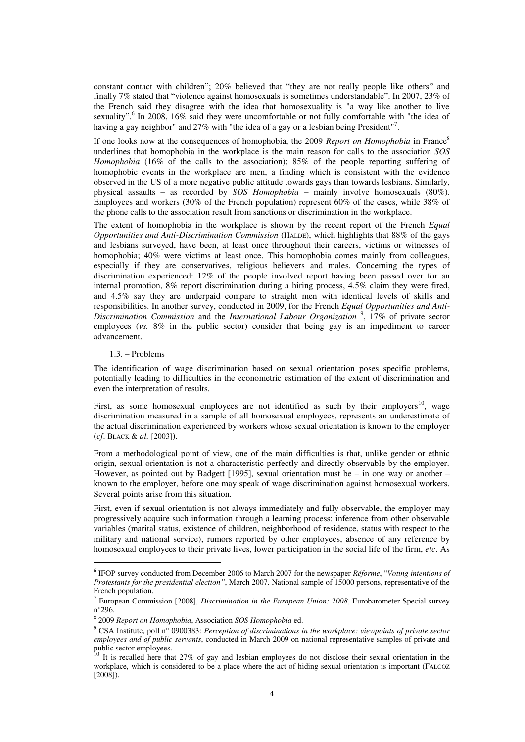constant contact with children"; 20% believed that "they are not really people like others" and finally 7% stated that "violence against homosexuals is sometimes understandable". In 2007, 23% of the French said they disagree with the idea that homosexuality is "a way like another to live sexuality".<sup>6</sup> In 2008, 16% said they were uncomfortable or not fully comfortable with "the idea of having a gay neighbor" and 27% with "the idea of a gay or a lesbian being President"<sup>7</sup>.

If one looks now at the consequences of homophobia, the 2009 *Report on Homophobia* in France<sup>8</sup> underlines that homophobia in the workplace is the main reason for calls to the association *SOS Homophobia* (16% of the calls to the association); 85% of the people reporting suffering of homophobic events in the workplace are men, a finding which is consistent with the evidence observed in the US of a more negative public attitude towards gays than towards lesbians. Similarly, physical assaults – as recorded by *SOS Homophobia* – mainly involve homosexuals (80%). Employees and workers (30% of the French population) represent 60% of the cases, while 38% of the phone calls to the association result from sanctions or discrimination in the workplace.

The extent of homophobia in the workplace is shown by the recent report of the French *Equal Opportunities and Anti-Discrimination Commission* (HALDE), which highlights that 88% of the gays and lesbians surveyed, have been, at least once throughout their careers, victims or witnesses of homophobia; 40% were victims at least once. This homophobia comes mainly from colleagues, especially if they are conservatives, religious believers and males. Concerning the types of discrimination experienced: 12% of the people involved report having been passed over for an internal promotion, 8% report discrimination during a hiring process, 4.5% claim they were fired, and 4.5% say they are underpaid compare to straight men with identical levels of skills and responsibilities. In another survey, conducted in 2009, for the French *Equal Opportunities and Anti-Discrimination Commission* and the *International Labour Organization* <sup>9</sup> , 17% of private sector employees (*vs.* 8% in the public sector) consider that being gay is an impediment to career advancement.

### 1.3. **–** Problems

 $\overline{a}$ 

The identification of wage discrimination based on sexual orientation poses specific problems, potentially leading to difficulties in the econometric estimation of the extent of discrimination and even the interpretation of results.

First, as some homosexual employees are not identified as such by their employers<sup>10</sup>, wage discrimination measured in a sample of all homosexual employees, represents an underestimate of the actual discrimination experienced by workers whose sexual orientation is known to the employer (*cf*. BLACK & *al.* [2003]).

From a methodological point of view, one of the main difficulties is that, unlike gender or ethnic origin, sexual orientation is not a characteristic perfectly and directly observable by the employer. However, as pointed out by Badgett [1995], sexual orientation must be – in one way or another – known to the employer, before one may speak of wage discrimination against homosexual workers. Several points arise from this situation.

First, even if sexual orientation is not always immediately and fully observable, the employer may progressively acquire such information through a learning process: inference from other observable variables (marital status, existence of children, neighborhood of residence, status with respect to the military and national service), rumors reported by other employees, absence of any reference by homosexual employees to their private lives, lower participation in the social life of the firm, *etc*. As

<sup>6</sup> IFOP survey conducted from December 2006 to March 2007 for the newspaper *Réforme*, "*Voting intentions of Protestants for the presidential election"*, March 2007. National sample of 15000 persons, representative of the French population.

<sup>7</sup> European Commission [2008], *Discrimination in the European Union: 2008*, Eurobarometer Special survey n°296.

<sup>8</sup> 2009 *Report on Homophobia*, Association *SOS Homophobia* ed.

<sup>9</sup> CSA Institute, poll n° 0900383: *Perception of discriminations in the workplace: viewpoints of private sector employees and of public servants*, conducted in March 2009 on national representative samples of private and public sector employees.

<sup>&</sup>lt;sup>10</sup> It is recalled here that 27% of gay and lesbian employees do not disclose their sexual orientation in the workplace, which is considered to be a place where the act of hiding sexual orientation is important (FALCOZ  $[2008]$ ).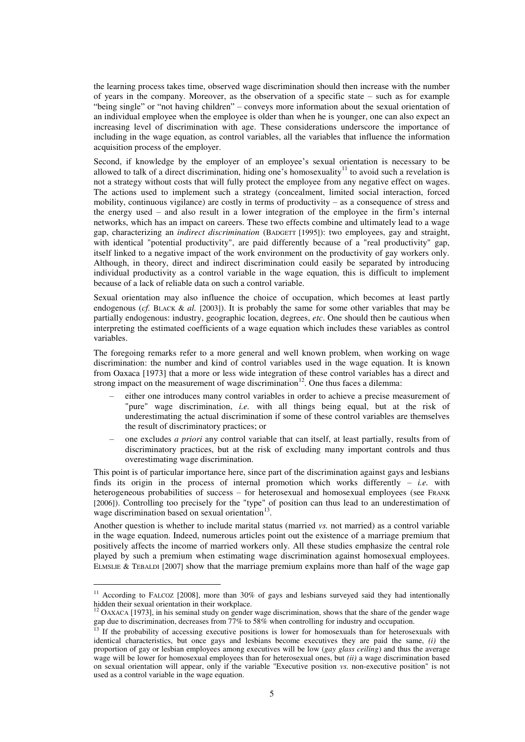the learning process takes time, observed wage discrimination should then increase with the number of years in the company. Moreover, as the observation of a specific state – such as for example "being single" or "not having children" – conveys more information about the sexual orientation of an individual employee when the employee is older than when he is younger, one can also expect an increasing level of discrimination with age. These considerations underscore the importance of including in the wage equation, as control variables, all the variables that influence the information acquisition process of the employer.

Second, if knowledge by the employer of an employee's sexual orientation is necessary to be allowed to talk of a direct discrimination, hiding one's homosexuality<sup>11</sup> to avoid such a revelation is not a strategy without costs that will fully protect the employee from any negative effect on wages. The actions used to implement such a strategy (concealment, limited social interaction, forced mobility, continuous vigilance) are costly in terms of productivity – as a consequence of stress and the energy used – and also result in a lower integration of the employee in the firm's internal networks, which has an impact on careers. These two effects combine and ultimately lead to a wage gap, characterizing an *indirect discrimination* (BADGETT [1995]): two employees, gay and straight, with identical "potential productivity", are paid differently because of a "real productivity" gap, itself linked to a negative impact of the work environment on the productivity of gay workers only. Although, in theory, direct and indirect discrimination could easily be separated by introducing individual productivity as a control variable in the wage equation, this is difficult to implement because of a lack of reliable data on such a control variable.

Sexual orientation may also influence the choice of occupation, which becomes at least partly endogenous (*cf.* BLACK & *al.* [2003]). It is probably the same for some other variables that may be partially endogenous: industry, geographic location, degrees, *etc*. One should then be cautious when interpreting the estimated coefficients of a wage equation which includes these variables as control variables.

The foregoing remarks refer to a more general and well known problem, when working on wage discrimination: the number and kind of control variables used in the wage equation. It is known from Oaxaca [1973] that a more or less wide integration of these control variables has a direct and strong impact on the measurement of wage discrimination<sup>12</sup>. One thus faces a dilemma:

- either one introduces many control variables in order to achieve a precise measurement of "pure" wage discrimination, *i.e.* with all things being equal, but at the risk of underestimating the actual discrimination if some of these control variables are themselves the result of discriminatory practices; or
- one excludes *a priori* any control variable that can itself, at least partially, results from of discriminatory practices, but at the risk of excluding many important controls and thus overestimating wage discrimination.

This point is of particular importance here, since part of the discrimination against gays and lesbians finds its origin in the process of internal promotion which works differently – *i.e.* with heterogeneous probabilities of success – for heterosexual and homosexual employees (see FRANK [2006]). Controlling too precisely for the "type" of position can thus lead to an underestimation of wage discrimination based on sexual orientation<sup>13</sup>.

Another question is whether to include marital status (married *vs.* not married) as a control variable in the wage equation. Indeed, numerous articles point out the existence of a marriage premium that positively affects the income of married workers only. All these studies emphasize the central role played by such a premium when estimating wage discrimination against homosexual employees. ELMSLIE & TEBALDI [2007] show that the marriage premium explains more than half of the wage gap

<sup>&</sup>lt;sup>11</sup> According to FALCOZ [2008], more than 30% of gays and lesbians surveyed said they had intentionally hidden their sexual orientation in their workplace.

<sup>&</sup>lt;sup>12</sup> OAXACA [1973], in his seminal study on gender wage discrimination, shows that the share of the gender wage gap due to discrimination, decreases from 77% to 58% when controlling for industry and occupation.

<sup>&</sup>lt;sup>13</sup> If the probability of accessing executive positions is lower for homosexuals than for heterosexuals with identical characteristics, but once gays and lesbians become executives they are paid the same, *(i)* the proportion of gay or lesbian employees among executives will be low (*gay glass ceiling*) and thus the average wage will be lower for homosexual employees than for heterosexual ones, but *(ii)* a wage discrimination based on sexual orientation will appear, only if the variable "Executive position *vs.* non-executive position" is not used as a control variable in the wage equation.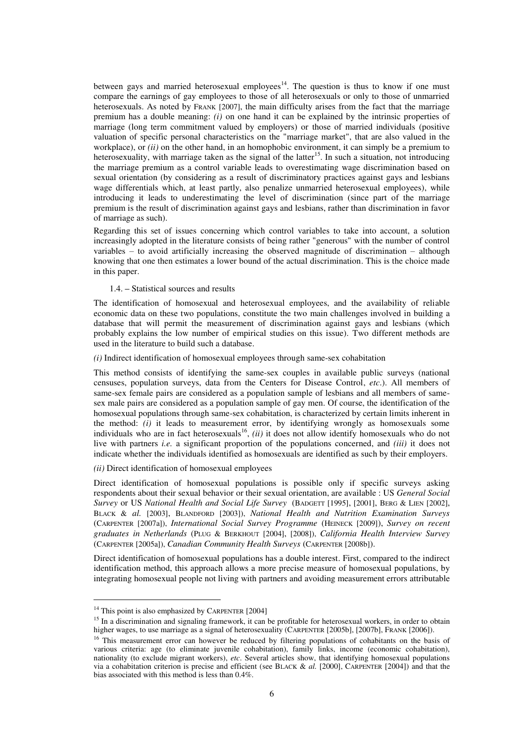between gays and married heterosexual employees<sup>14</sup>. The question is thus to know if one must compare the earnings of gay employees to those of all heterosexuals or only to those of unmarried heterosexuals. As noted by FRANK [2007], the main difficulty arises from the fact that the marriage premium has a double meaning: *(i)* on one hand it can be explained by the intrinsic properties of marriage (long term commitment valued by employers) or those of married individuals (positive valuation of specific personal characteristics on the "marriage market", that are also valued in the workplace), or *(ii)* on the other hand, in an homophobic environment, it can simply be a premium to heterosexuality, with marriage taken as the signal of the latter<sup>15</sup>. In such a situation, not introducing the marriage premium as a control variable leads to overestimating wage discrimination based on sexual orientation (by considering as a result of discriminatory practices against gays and lesbians wage differentials which, at least partly, also penalize unmarried heterosexual employees), while introducing it leads to underestimating the level of discrimination (since part of the marriage premium is the result of discrimination against gays and lesbians, rather than discrimination in favor of marriage as such).

Regarding this set of issues concerning which control variables to take into account, a solution increasingly adopted in the literature consists of being rather "generous" with the number of control variables – to avoid artificially increasing the observed magnitude of discrimination – although knowing that one then estimates a lower bound of the actual discrimination. This is the choice made in this paper.

# 1.4. **–** Statistical sources and results

The identification of homosexual and heterosexual employees, and the availability of reliable economic data on these two populations, constitute the two main challenges involved in building a database that will permit the measurement of discrimination against gays and lesbians (which probably explains the low number of empirical studies on this issue). Two different methods are used in the literature to build such a database.

#### *(i)* Indirect identification of homosexual employees through same-sex cohabitation

This method consists of identifying the same-sex couples in available public surveys (national censuses, population surveys, data from the Centers for Disease Control, *etc*.). All members of same-sex female pairs are considered as a population sample of lesbians and all members of samesex male pairs are considered as a population sample of gay men. Of course, the identification of the homosexual populations through same-sex cohabitation, is characterized by certain limits inherent in the method: *(i)* it leads to measurement error, by identifying wrongly as homosexuals some individuals who are in fact heterosexuals<sup>16</sup>, *(ii)* it does not allow identify homosexuals who do not live with partners *i.e.* a significant proportion of the populations concerned, and *(iii)* it does not indicate whether the individuals identified as homosexuals are identified as such by their employers.

# *(ii)* Direct identification of homosexual employees

Direct identification of homosexual populations is possible only if specific surveys asking respondents about their sexual behavior or their sexual orientation, are available : US *General Social Survey* or US *National Health and Social Life Survey* (BADGETT [1995], [2001], BERG & LIEN [2002], BLACK & *al.* [2003], BLANDFORD [2003]), *National Health and Nutrition Examination Surveys*  (CARPENTER [2007a]), *International Social Survey Programme* (HEINECK [2009]), *Survey on recent graduates in Netherlands* (PLUG & BERKHOUT [2004], [2008]), *California Health Interview Survey* (CARPENTER [2005a]), *Canadian Community Health Surveys* (CARPENTER [2008b]).

Direct identification of homosexual populations has a double interest. First, compared to the indirect identification method, this approach allows a more precise measure of homosexual populations, by integrating homosexual people not living with partners and avoiding measurement errors attributable

<sup>&</sup>lt;sup>14</sup> This point is also emphasized by CARPENTER [2004]

<sup>&</sup>lt;sup>15</sup> In a discrimination and signaling framework, it can be profitable for heterosexual workers, in order to obtain higher wages, to use marriage as a signal of heterosexuality (CARPENTER [2005b], [2007b], FRANK [2006]).

<sup>&</sup>lt;sup>16</sup> This measurement error can however be reduced by filtering populations of cohabitants on the basis of various criteria: age (to eliminate juvenile cohabitation), family links, income (economic cohabitation), nationality (to exclude migrant workers), *etc*. Several articles show, that identifying homosexual populations via a cohabitation criterion is precise and efficient (see BLACK & *al.* [2000], CARPENTER [2004]) and that the bias associated with this method is less than 0.4%.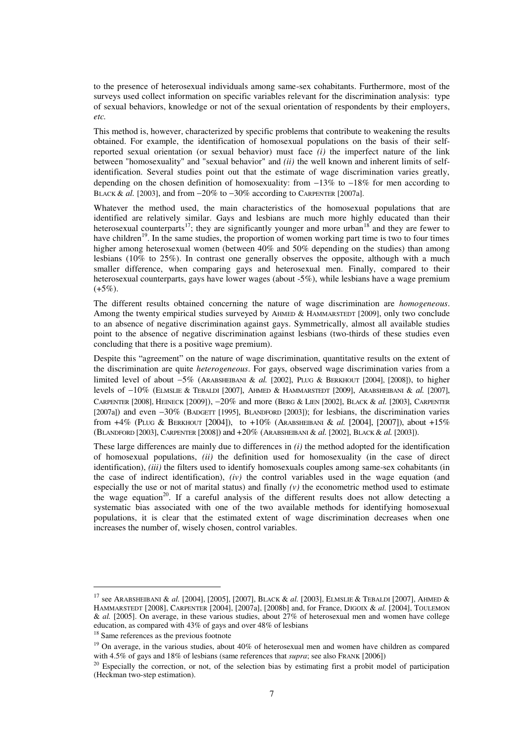to the presence of heterosexual individuals among same-sex cohabitants. Furthermore, most of the surveys used collect information on specific variables relevant for the discrimination analysis: type of sexual behaviors, knowledge or not of the sexual orientation of respondents by their employers, *etc.* 

This method is, however, characterized by specific problems that contribute to weakening the results obtained. For example, the identification of homosexual populations on the basis of their selfreported sexual orientation (or sexual behavior) must face *(i)* the imperfect nature of the link between "homosexuality" and "sexual behavior" and *(ii)* the well known and inherent limits of selfidentification. Several studies point out that the estimate of wage discrimination varies greatly, depending on the chosen definition of homosexuality: from  $-13\%$  to  $-18\%$  for men according to BLACK & al. [2003], and from  $-20\%$  to  $-30\%$  according to CARPENTER [2007a].

Whatever the method used, the main characteristics of the homosexual populations that are identified are relatively similar. Gays and lesbians are much more highly educated than their heterosexual counterparts<sup>17</sup>; they are significantly younger and more urban<sup>18</sup> and they are fewer to have children<sup>19</sup>. In the same studies, the proportion of women working part time is two to four times higher among heterosexual women (between 40% and 50% depending on the studies) than among lesbians (10% to 25%). In contrast one generally observes the opposite, although with a much smaller difference, when comparing gays and heterosexual men. Finally, compared to their heterosexual counterparts, gays have lower wages (about -5%), while lesbians have a wage premium  $(+5\%)$ .

The different results obtained concerning the nature of wage discrimination are *homogeneous*. Among the twenty empirical studies surveyed by AHMED & HAMMARSTEDT [2009], only two conclude to an absence of negative discrimination against gays. Symmetrically, almost all available studies point to the absence of negative discrimination against lesbians (two-thirds of these studies even concluding that there is a positive wage premium).

Despite this "agreement" on the nature of wage discrimination, quantitative results on the extent of the discrimination are quite *heterogeneous*. For gays, observed wage discrimination varies from a limited level of about 5% (ARABSHEIBANI & *al.* [2002], PLUG & BERKHOUT [2004], [2008]), to higher levels of 10% (ELMSLIE & TEBALDI [2007], AHMED & HAMMARSTEDT [2009], ARABSHEIBANI & *al.* [2007], CARPENTER [2008], HEINECK [2009]), 20% and more (BERG & LIEN [2002], BLACK & *al.* [2003], CARPENTER [2007a]) and even  $-30\%$  (BADGETT [1995], BLANDFORD [2003]); for lesbians, the discrimination varies from +4% (PLUG & BERKHOUT [2004]), to +10% (ARABSHEIBANI & *al.* [2004], [2007]), about +15% (BLANDFORD [2003], CARPENTER [2008]) and +20% (ARABSHEIBANI & *al.* [2002], BLACK & *al.* [2003]).

These large differences are mainly due to differences in *(i)* the method adopted for the identification of homosexual populations, *(ii)* the definition used for homosexuality (in the case of direct identification), *(iii)* the filters used to identify homosexuals couples among same-sex cohabitants (in the case of indirect identification), *(iv)* the control variables used in the wage equation (and especially the use or not of marital status) and finally *(v)* the econometric method used to estimate the wage equation<sup>20</sup>. If a careful analysis of the different results does not allow detecting a systematic bias associated with one of the two available methods for identifying homosexual populations, it is clear that the estimated extent of wage discrimination decreases when one increases the number of, wisely chosen, control variables.

<sup>17</sup> see ARABSHEIBANI & *al.* [2004], [2005], [2007], BLACK & *al.* [2003], ELMSLIE & TEBALDI [2007], AHMED & HAMMARSTEDT [2008], CARPENTER [2004], [2007a], [2008b] and, for France, DIGOIX & *al.* [2004], TOULEMON & *al.* [2005]. On average, in these various studies, about 27% of heterosexual men and women have college education, as compared with 43% of gays and over 48% of lesbians

<sup>&</sup>lt;sup>18</sup> Same references as the previous footnote

<sup>&</sup>lt;sup>19</sup> On average, in the various studies, about 40% of heterosexual men and women have children as compared with 4.5% of gays and 18% of lesbians (same references that *supra*; see also FRANK [2006])

<sup>&</sup>lt;sup>20</sup> Especially the correction, or not, of the selection bias by estimating first a probit model of participation (Heckman two-step estimation).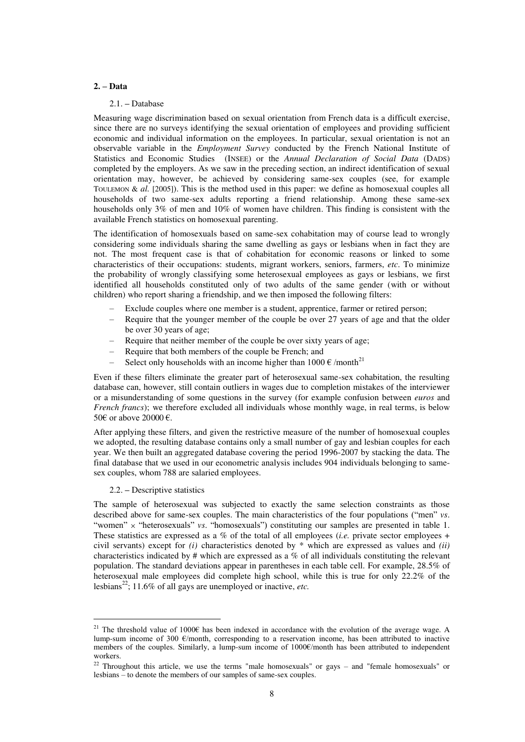## **2. – Data**

#### 2.1. **–** Database

Measuring wage discrimination based on sexual orientation from French data is a difficult exercise, since there are no surveys identifying the sexual orientation of employees and providing sufficient economic and individual information on the employees. In particular, sexual orientation is not an observable variable in the *Employment Survey* conducted by the French National Institute of Statistics and Economic Studies (INSEE) or the *Annual Declaration of Social Data* (DADS) completed by the employers. As we saw in the preceding section, an indirect identification of sexual orientation may, however, be achieved by considering same-sex couples (see, for example TOULEMON & *al.* [2005]). This is the method used in this paper: we define as homosexual couples all households of two same-sex adults reporting a friend relationship. Among these same-sex households only 3% of men and 10% of women have children. This finding is consistent with the available French statistics on homosexual parenting.

The identification of homosexuals based on same-sex cohabitation may of course lead to wrongly considering some individuals sharing the same dwelling as gays or lesbians when in fact they are not. The most frequent case is that of cohabitation for economic reasons or linked to some characteristics of their occupations: students, migrant workers, seniors, farmers, *etc*. To minimize the probability of wrongly classifying some heterosexual employees as gays or lesbians, we first identified all households constituted only of two adults of the same gender (with or without children) who report sharing a friendship, and we then imposed the following filters:

- Exclude couples where one member is a student, apprentice, farmer or retired person;
- Require that the younger member of the couple be over 27 years of age and that the older be over 30 years of age;
- Require that neither member of the couple be over sixty years of age;
- Require that both members of the couple be French; and
- Select only households with an income higher than  $1000 \text{ } \in / \text{month}^{21}$

Even if these filters eliminate the greater part of heterosexual same-sex cohabitation, the resulting database can, however, still contain outliers in wages due to completion mistakes of the interviewer or a misunderstanding of some questions in the survey (for example confusion between *euros* and *French francs*); we therefore excluded all individuals whose monthly wage, in real terms, is below 50€ or above 20000 €.

After applying these filters, and given the restrictive measure of the number of homosexual couples we adopted, the resulting database contains only a small number of gay and lesbian couples for each year. We then built an aggregated database covering the period 1996-2007 by stacking the data. The final database that we used in our econometric analysis includes 904 individuals belonging to samesex couples, whom 788 are salaried employees.

## 2.2. **–** Descriptive statistics

 $\overline{a}$ 

The sample of heterosexual was subjected to exactly the same selection constraints as those described above for same-sex couples. The main characteristics of the four populations ("men" *vs*. "women" x "heterosexuals" *vs.* "homosexuals") constituting our samples are presented in table 1. These statistics are expressed as a % of the total of all employees (*i.e.* private sector employees + civil servants) except for *(i)* characteristics denoted by \* which are expressed as values and *(ii)* characteristics indicated by # which are expressed as a % of all individuals constituting the relevant population. The standard deviations appear in parentheses in each table cell. For example, 28.5% of heterosexual male employees did complete high school, while this is true for only 22.2% of the lesbians<sup>22</sup>; 11.6% of all gays are unemployed or inactive, *etc*.

<sup>&</sup>lt;sup>21</sup> The threshold value of 1000 $\epsilon$  has been indexed in accordance with the evolution of the average wage. A lump-sum income of 300 €/month, corresponding to a reservation income, has been attributed to inactive members of the couples. Similarly, a lump-sum income of 1000€/month has been attributed to independent workers.

<sup>&</sup>lt;sup>22</sup> Throughout this article, we use the terms "male homosexuals" or gays – and "female homosexuals" or lesbians – to denote the members of our samples of same-sex couples.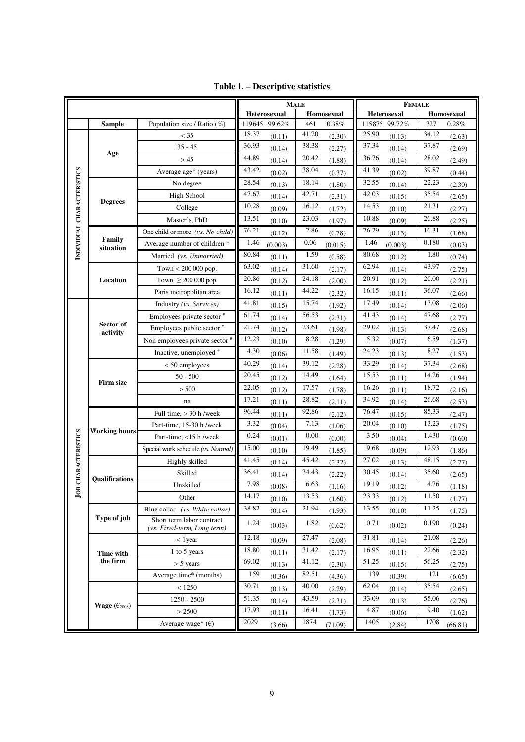|                             |                          |                                    | <b>MALE</b>   |         |       | <b>FEMALE</b> |       |                    |       |            |
|-----------------------------|--------------------------|------------------------------------|---------------|---------|-------|---------------|-------|--------------------|-------|------------|
|                             |                          |                                    | Heterosexual  |         |       | Homosexual    |       | <b>Heterosexal</b> |       | Homosexual |
|                             | <b>Sample</b>            | Population size / Ratio $(\%)$     | 119645 99.62% |         | 461   | 0.38%         |       | 115875 99.72%      | 327   | 0.28%      |
|                             |                          | $<$ 35                             | 18.37         | (0.11)  | 41.20 | (2.30)        | 25.90 | (0.13)             | 34.12 | (2.63)     |
|                             | Age                      | $35 - 45$                          | 36.93         | (0.14)  | 38.38 | (2.27)        | 37.34 | (0.14)             | 37.87 | (2.69)     |
|                             |                          | > 45                               | 44.89         | (0.14)  | 20.42 | (1.88)        | 36.76 | (0.14)             | 28.02 | (2.49)     |
|                             |                          | Average age* (years)               | 43.42         | (0.02)  | 38.04 | (0.37)        | 41.39 | (0.02)             | 39.87 | (0.44)     |
|                             |                          | No degree                          | 28.54         | (0.13)  | 18.14 | (1.80)        | 32.55 | (0.14)             | 22.23 | (2.30)     |
|                             | <b>Degrees</b>           | High School                        | 47.67         | (0.14)  | 42.71 | (2.31)        | 42.03 | (0.15)             | 35.54 | (2.65)     |
|                             |                          | College                            | 10.28         | (0.09)  | 16.12 | (1.72)        | 14.53 | (0.10)             | 21.31 | (2.27)     |
| INDIVIDUAL CHARACTERISTICS  |                          | Master's, PhD                      | 13.51         | (0.10)  | 23.03 | (1.97)        | 10.88 | (0.09)             | 20.88 | (2.25)     |
|                             | Family<br>situation      | One child or more (vs. No child)   | 76.21         | (0.12)  | 2.86  | (0.78)        | 76.29 | (0.13)             | 10.31 | (1.68)     |
|                             |                          | Average number of children *       | 1.46          | (0.003) | 0.06  | (0.015)       | 1.46  | (0.003)            | 0.180 | (0.03)     |
|                             |                          | Married (vs. Unmarried)            | 80.84         | (0.11)  | 1.59  | (0.58)        | 80.68 | (0.12)             | 1.80  | (0.74)     |
|                             |                          | Town $< 200 000$ pop.              | 63.02         | (0.14)  | 31.60 | (2.17)        | 62.94 | (0.14)             | 43.97 | (2.75)     |
|                             | Location                 | Town $\geq 200 000$ pop.           | 20.86         | (0.12)  | 24.18 | (2.00)        | 20.91 | (0.12)             | 20.00 | (2.21)     |
|                             |                          | Paris metropolitan area            | 16.12         | (0.11)  | 44.22 | (2.32)        | 16.15 | (0.11)             | 36.07 | (2.66)     |
|                             |                          | Industry (vs. Services)            | 41.81         | (0.15)  | 15.74 | (1.92)        | 17.49 | (0.14)             | 13.08 | (2.06)     |
|                             |                          | Employees private sector #         | 61.74         | (0.14)  | 56.53 | (2.31)        | 41.43 | (0.14)             | 47.68 | (2.77)     |
|                             | Sector of<br>activity    | Employees public sector #          | 21.74         | (0.12)  | 23.61 | (1.98)        | 29.02 | (0.13)             | 37.47 | (2.68)     |
|                             |                          | Non employees private sector #     | 12.23         | (0.10)  | 8.28  | (1.29)        | 5.32  | (0.07)             | 6.59  | (1.37)     |
|                             |                          | Inactive, unemployed #             | 4.30          | (0.06)  | 11.58 | (1.49)        | 24.23 | (0.13)             | 8.27  | (1.53)     |
|                             |                          | $< 50$ employees                   | 40.29         | (0.14)  | 39.12 | (2.28)        | 33.29 | (0.14)             | 37.34 | (2.68)     |
|                             |                          | $50 - 500$                         | 20.45         | (0.12)  | 14.49 | (1.64)        | 15.53 | (0.11)             | 14.26 | (1.94)     |
|                             | <b>Firm size</b>         | > 500                              | 22.05         | (0.12)  | 17.57 | (1.78)        | 16.26 | (0.11)             | 18.72 | (2.16)     |
|                             |                          | na                                 | 17.21         | (0.11)  | 28.82 | (2.11)        | 34.92 | (0.14)             | 26.68 | (2.53)     |
|                             |                          | Full time, $>$ 30 h /week          | 96.44         | (0.11)  | 92,86 | (2.12)        | 76.47 | (0.15)             | 85.33 | (2.47)     |
|                             |                          | Part-time, 15-30 h /week           | 3.32          | (0.04)  | 7.13  | (1.06)        | 20.04 | (0.10)             | 13.23 | (1.75)     |
|                             | <b>Working hours</b>     | Part-time, <15 h /week             | 0.24          | (0.01)  | 0.00  | (0.00)        | 3.50  | (0.04)             | 1.430 | (0.60)     |
| <b>CHARACTERISTICS</b>      |                          | Special work schedule (vs. Normal) | 15.00         | (0.10)  | 19.49 | (1.85)        | 9.68  | (0.09)             | 12.93 | (1.86)     |
|                             |                          | Highly skilled                     | 41.45         | (0.14)  | 45.42 | (2.32)        | 27.02 | (0.13)             | 48.15 | (2.77)     |
|                             |                          | Skilled                            | 36.41         | (0.14)  | 34.43 | (2.22)        | 30.45 | (0.14)             | 35.60 | (2.65)     |
|                             | <b>Qualifications</b>    | Unskilled                          | 7.98          | (0.08)  | 6.63  | (1.16)        | 19.19 | (0.12)             | 4.76  | (1.18)     |
| $_{\rm \bf \overline{J}OB}$ |                          | Other                              | 14.17         | (0.10)  | 13.53 | (1.60)        | 23.33 | (0.12)             | 11.50 | (1.77)     |
|                             |                          | Blue collar (vs. White collar)     | 38.82         | (0.14)  | 21.94 | (1.93)        | 13.55 | (0.10)             | 11.25 | (1.75)     |
|                             | Type of job              | Short term labor contract          | 1.24          |         | 1.82  |               | 0.71  |                    | 0.190 |            |
|                             |                          | (vs. Fixed-term, Long term)        |               | (0.03)  |       | (0.62)        |       | (0.02)             |       | (0.24)     |
|                             |                          | $<$ 1 year                         | 12.18         | (0.09)  | 27.47 | (2.08)        | 31.81 | (0.14)             | 21.08 | (2.26)     |
|                             | Time with                | 1 to 5 years                       | 18.80         | (0.11)  | 31.42 | (2.17)        | 16.95 | (0.11)             | 22.66 | (2.32)     |
|                             | the firm                 | $> 5$ years                        | 69.02         | (0.13)  | 41.12 | (2.30)        | 51.25 | (0.15)             | 56.25 | (2.75)     |
|                             |                          | Average time* (months)             | 159           | (0.36)  | 82.51 | (4.36)        | 139   | (0.39)             | 121   | (6.65)     |
|                             |                          | < 1250                             | 30.71         | (0.13)  | 40.00 | (2.29)        | 62.04 | (0.14)             | 35.54 | (2.65)     |
|                             | Wage $(\epsilon_{2008})$ | $1250 - 2500$                      | 51.35         | (0.14)  | 43.59 | (2.31)        | 33.09 | (0.13)             | 55.06 | (2.76)     |
|                             |                          | > 2500                             | 17.93         | (0.11)  | 16.41 | (1.73)        | 4.87  | (0.06)             | 9.40  | (1.62)     |
|                             |                          | Average wage* $(\epsilon)$         | 2029          | (3.66)  | 1874  | (71.09)       | 1405  | (2.84)             | 1708  | (66.81)    |

**Table 1. – Descriptive statistics**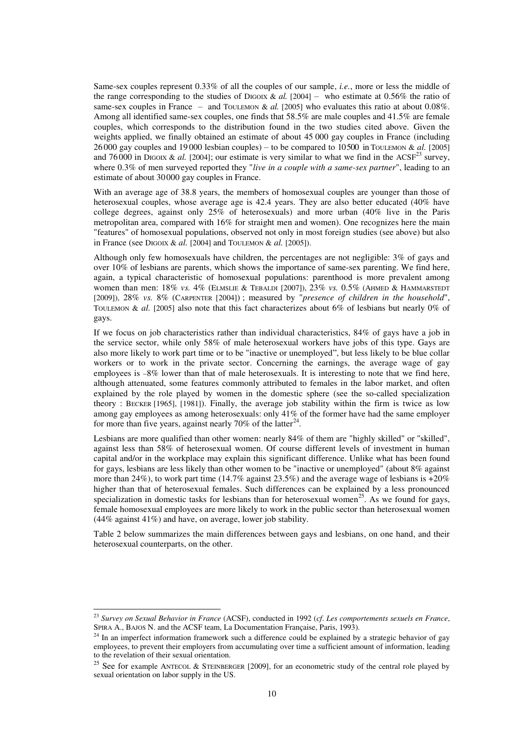Same-sex couples represent 0.33% of all the couples of our sample, *i.e.*, more or less the middle of the range corresponding to the studies of DIGOIX &  $al.$  [2004] – who estimate at 0.56% the ratio of same-sex couples in France – and TOULEMON & *al.* [2005] who evaluates this ratio at about 0.08%. Among all identified same-sex couples, one finds that 58.5% are male couples and 41.5% are female couples, which corresponds to the distribution found in the two studies cited above. Given the weights applied, we finally obtained an estimate of about 45 000 gay couples in France (including 26 000 gay couples and 19 000 lesbian couples) – to be compared to 10 500 in TOULEMON &  $al.$  [2005] and 76000 in DIGOIX & al. [2004]; our estimate is very similar to what we find in the ACSF<sup>23</sup> survey, where 0.3% of men surveyed reported they "*live in a couple with a same-sex partner*", leading to an estimate of about 30000 gay couples in France.

With an average age of 38.8 years, the members of homosexual couples are younger than those of heterosexual couples, whose average age is 42.4 years. They are also better educated (40% have college degrees, against only 25% of heterosexuals) and more urban (40% live in the Paris metropolitan area, compared with 16% for straight men and women). One recognizes here the main "features" of homosexual populations, observed not only in most foreign studies (see above) but also in France (see DIGOIX & *al.* [2004] and TOULEMON & *al.* [2005]).

Although only few homosexuals have children, the percentages are not negligible: 3% of gays and over 10% of lesbians are parents, which shows the importance of same-sex parenting. We find here, again, a typical characteristic of homosexual populations: parenthood is more prevalent among women than men: 18% *vs.* 4% (ELMSLIE & TEBALDI [2007]), 23% *vs.* 0.5% (AHMED & HAMMARSTEDT [2009]), 28% *vs.* 8% (CARPENTER [2004]) ; measured by "*presence of children in the household*", TOULEMON & *al.* [2005] also note that this fact characterizes about 6% of lesbians but nearly 0% of gays.

If we focus on job characteristics rather than individual characteristics, 84% of gays have a job in the service sector, while only 58% of male heterosexual workers have jobs of this type. Gays are also more likely to work part time or to be "inactive or unemployed", but less likely to be blue collar workers or to work in the private sector. Concerning the earnings, the average wage of gay employees is  $-8\%$  lower than that of male heterosexuals. It is interesting to note that we find here, although attenuated, some features commonly attributed to females in the labor market, and often explained by the role played by women in the domestic sphere (see the so-called specialization theory : BECKER [1965], [1981]). Finally, the average job stability within the firm is twice as low among gay employees as among heterosexuals: only 41% of the former have had the same employer for more than five years, against nearly 70% of the latter<sup>24</sup>.

Lesbians are more qualified than other women: nearly 84% of them are "highly skilled" or "skilled", against less than 58% of heterosexual women. Of course different levels of investment in human capital and/or in the workplace may explain this significant difference. Unlike what has been found for gays, lesbians are less likely than other women to be "inactive or unemployed" (about 8% against more than 24%), to work part time (14.7% against 23.5%) and the average wage of lesbians is +20% higher than that of heterosexual females. Such differences can be explained by a less pronounced specialization in domestic tasks for lesbians than for heterosexual women<sup>25</sup>. As we found for gays, female homosexual employees are more likely to work in the public sector than heterosexual women (44% against 41%) and have, on average, lower job stability.

Table 2 below summarizes the main differences between gays and lesbians, on one hand, and their heterosexual counterparts, on the other.

<sup>23</sup> *Survey on Sexual Behavior in France* (ACSF), conducted in 1992 (*cf*. *Les comportements sexuels en France*, SPIRA A., BAJOS N. and the ACSF team, La Documentation Française, Paris, 1993).

<sup>&</sup>lt;sup>24</sup> In an imperfect information framework such a difference could be explained by a strategic behavior of gay employees, to prevent their employers from accumulating over time a sufficient amount of information, leading to the revelation of their sexual orientation.

<sup>&</sup>lt;sup>25</sup> See for example ANTECOL & STEINBERGER [2009], for an econometric study of the central role played by sexual orientation on labor supply in the US.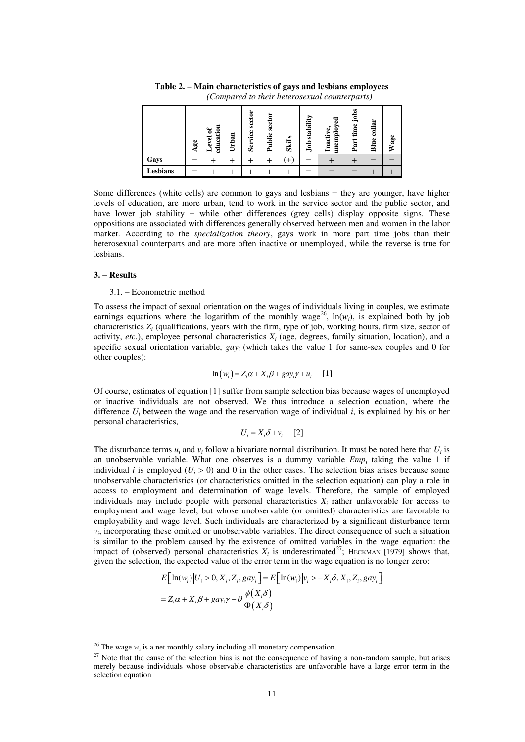|          | 9g<br>⋖ | education<br>ัธ<br>evel | Urban | sector<br>vice<br>Ser | sector<br>ublic<br>≏ | <b>Skills</b> | ⋗.<br>stabilit<br>ŝ | ಇ<br>unemploy<br>Inactive, | jobs<br>time<br>Part | collar<br>Blue | Wage |
|----------|---------|-------------------------|-------|-----------------------|----------------------|---------------|---------------------|----------------------------|----------------------|----------------|------|
| Gays     |         |                         | ┭     |                       |                      | ᠇             |                     |                            |                      |                |      |
| Lesbians |         |                         |       |                       |                      |               |                     |                            |                      |                |      |

**Table 2. – Main characteristics of gays and lesbians employees** *(Compared to their heterosexual counterparts)* 

Some differences (white cells) are common to gays and lesbians − they are younger, have higher levels of education, are more urban, tend to work in the service sector and the public sector, and have lower job stability − while other differences (grey cells) display opposite signs. These oppositions are associated with differences generally observed between men and women in the labor market. According to the *specialization theory*, gays work in more part time jobs than their heterosexual counterparts and are more often inactive or unemployed, while the reverse is true for lesbians.

#### **3. – Results**

 $\overline{a}$ 

#### 3.1. – Econometric method

To assess the impact of sexual orientation on the wages of individuals living in couples, we estimate earnings equations where the logarithm of the monthly wage<sup>26</sup>,  $ln(w_i)$ , is explained both by job characteristics *Z<sup>i</sup>* (qualifications, years with the firm, type of job, working hours, firm size, sector of activity,  $etc.$ ), employee personal characteristics  $X_i$  (age, degrees, family situation, location), and a specific sexual orientation variable,  $gay_i$  (which takes the value 1 for same-sex couples and 0 for other couples):

$$
\ln(w_i) = Z_i \alpha + X_i \beta + g a y_i \gamma + u_i \quad [1]
$$

Of course, estimates of equation [1] suffer from sample selection bias because wages of unemployed or inactive individuals are not observed. We thus introduce a selection equation, where the difference  $U_i$  between the wage and the reservation wage of individual *i*, is explained by his or her personal characteristics,

$$
U_i = X_i \delta + v_i \quad [2]
$$

The disturbance terms  $u_i$  and  $v_i$  follow a bivariate normal distribution. It must be noted here that  $U_i$  is an unobservable variable. What one observes is a dummy variable *Emp<sup>i</sup>* taking the value 1 if individual *i* is employed ( $U_i > 0$ ) and 0 in the other cases. The selection bias arises because some unobservable characteristics (or characteristics omitted in the selection equation) can play a role in access to employment and determination of wage levels. Therefore, the sample of employed individuals may include people with personal characteristics  $X_i$  rather unfavorable for access to employment and wage level, but whose unobservable (or omitted) characteristics are favorable to employability and wage level. Such individuals are characterized by a significant disturbance term  $v_i$ , incorporating these omitted or unobservable variables. The direct consequence of such a situation is similar to the problem caused by the existence of omitted variables in the wage equation: the impact of (observed) personal characteristics  $X_i$  is underestimated<sup>27</sup>; HECKMAN [1979] shows that, given the selection, the expected value of the error term in the wage equation is no longer zero:

$$
E\left[\ln(w_i)|U_i > 0, X_i, Z_i, gay_i\right] = E\left[\ln(w_i)|v_i > -X_i\delta, X_i, Z_i, gay_i\right]
$$
  
=  $Z_i\alpha + X_i\beta + gay_i\gamma + \theta \frac{\phi(X_i\delta)}{\Phi(X_i\delta)}$ 

<sup>&</sup>lt;sup>26</sup> The wage  $w_i$  is a net monthly salary including all monetary compensation.

 $27$  Note that the cause of the selection bias is not the consequence of having a non-random sample, but arises merely because individuals whose observable characteristics are unfavorable have a large error term in the selection equation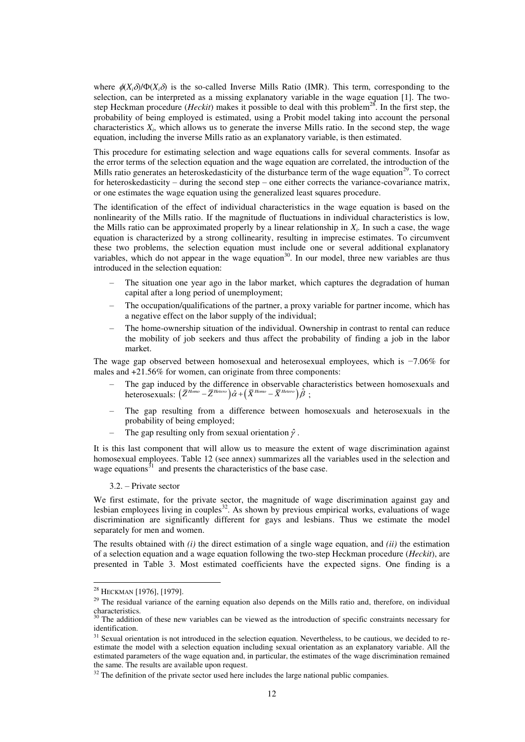where  $\phi(X_i, \delta)/\Phi(X_i, \delta)$  is the so-called Inverse Mills Ratio (IMR). This term, corresponding to the selection, can be interpreted as a missing explanatory variable in the wage equation [1]. The twostep Heckman procedure (*Heckit*) makes it possible to deal with this problem<sup>28</sup>. In the first step, the probability of being employed is estimated, using a Probit model taking into account the personal characteristics  $X_i$ , which allows us to generate the inverse Mills ratio. In the second step, the wage equation, including the inverse Mills ratio as an explanatory variable, is then estimated.

This procedure for estimating selection and wage equations calls for several comments. Insofar as the error terms of the selection equation and the wage equation are correlated, the introduction of the Mills ratio generates an heteroskedasticity of the disturbance term of the wage equation<sup>29</sup>. To correct for heteroskedasticity – during the second step – one either corrects the variance-covariance matrix, or one estimates the wage equation using the generalized least squares procedure.

The identification of the effect of individual characteristics in the wage equation is based on the nonlinearity of the Mills ratio. If the magnitude of fluctuations in individual characteristics is low, the Mills ratio can be approximated properly by a linear relationship in  $X_i$ . In such a case, the wage equation is characterized by a strong collinearity, resulting in imprecise estimates. To circumvent these two problems, the selection equation must include one or several additional explanatory variables, which do not appear in the wage equation<sup>30</sup>. In our model, three new variables are thus introduced in the selection equation:

- The situation one year ago in the labor market, which captures the degradation of human capital after a long period of unemployment;
- The occupation/qualifications of the partner, a proxy variable for partner income, which has a negative effect on the labor supply of the individual;
- The home-ownership situation of the individual. Ownership in contrast to rental can reduce the mobility of job seekers and thus affect the probability of finding a job in the labor market.

The wage gap observed between homosexual and heterosexual employees, which is −7.06% for males and +21.56% for women, can originate from three components:

- The gap induced by the difference in observable characteristics between homosexuals and heterosexuals:  $(\bar{Z}^{Homo} - \bar{Z}^{Hetero})\hat{\alpha} + (\bar{X}^{Homo} - \bar{X}^{Hetero})\hat{\beta}$ ;
- The gap resulting from a difference between homosexuals and heterosexuals in the probability of being employed;
- The gap resulting only from sexual orientation  $\hat{\gamma}$ .

It is this last component that will allow us to measure the extent of wage discrimination against homosexual employees. Table 12 (see annex) summarizes all the variables used in the selection and wage equations $31$  and presents the characteristics of the base case.

3.2. – Private sector

We first estimate, for the private sector, the magnitude of wage discrimination against gay and lesbian employees living in couples<sup>32</sup>. As shown by previous empirical works, evaluations of wage discrimination are significantly different for gays and lesbians. Thus we estimate the model separately for men and women.

The results obtained with *(i)* the direct estimation of a single wage equation, and *(ii)* the estimation of a selection equation and a wage equation following the two-step Heckman procedure (*Heckit*), are presented in Table 3. Most estimated coefficients have the expected signs. One finding is a

 $\overline{a}$ 

 $32$  The definition of the private sector used here includes the large national public companies.

<sup>&</sup>lt;sup>28</sup> Heckman [1976], [1979].

<sup>&</sup>lt;sup>29</sup> The residual variance of the earning equation also depends on the Mills ratio and, therefore, on individual characteristics.

<sup>&</sup>lt;sup>30</sup> The addition of these new variables can be viewed as the introduction of specific constraints necessary for identification.

<sup>&</sup>lt;sup>31</sup> Sexual orientation is not introduced in the selection equation. Nevertheless, to be cautious, we decided to reestimate the model with a selection equation including sexual orientation as an explanatory variable. All the estimated parameters of the wage equation and, in particular, the estimates of the wage discrimination remained the same. The results are available upon request.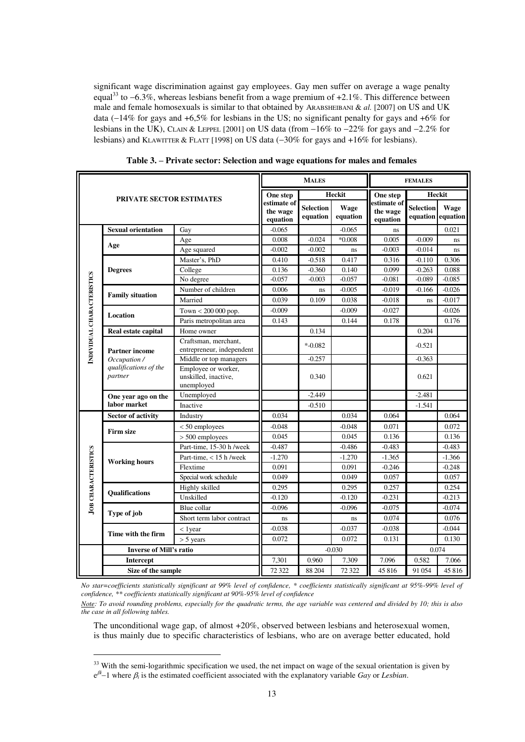significant wage discrimination against gay employees. Gay men suffer on average a wage penalty equal<sup>33</sup> to  $-6.3\%$ , whereas lesbians benefit from a wage premium of  $+2.1\%$ . This difference between male and female homosexuals is similar to that obtained by ARABSHEIBANI & *al.* [2007] on US and UK data  $(-14\%$  for gays and  $+6,5\%$  for lesbians in the US; no significant penalty for gays and  $+6\%$  for lesbians in the UK), CLAIN & LEPPEL [2001] on US data (from  $-16\%$  to  $-22\%$  for gays and  $-2.2\%$  for lesbians) and KLAWITTER & FLATT [1998] on US data  $(-30\%$  for gays and  $+16\%$  for lesbians).

|                            |                                                  |                                                           |                                     | <b>MALES</b>                 |                  |                                     | <b>FEMALES</b>               |                  |
|----------------------------|--------------------------------------------------|-----------------------------------------------------------|-------------------------------------|------------------------------|------------------|-------------------------------------|------------------------------|------------------|
|                            | <b>PRIVATE SECTOR ESTIMATES</b>                  |                                                           | One step                            |                              | Heckit           | One step                            | Heckit                       |                  |
|                            |                                                  |                                                           | estimate of<br>the wage<br>equation | <b>Selection</b><br>equation | Wage<br>equation | estimate of<br>the wage<br>equation | <b>Selection</b><br>equation | Wage<br>equation |
|                            | <b>Sexual orientation</b>                        | Gay                                                       | $-0.065$                            |                              | $-0.065$         | ns                                  |                              | 0.021            |
|                            |                                                  | Age                                                       | 0.008                               | $-0.024$                     | $*0.008$         | 0.005                               | $-0.009$                     | ns               |
|                            | Age                                              | Age squared                                               | $-0.002$                            | $-0.002$                     | ns               | $-0.003$                            | $-0.014$                     | ns               |
|                            |                                                  | Master's, PhD                                             | 0.410                               | $-0.518$                     | 0.417            | 0.316                               | $-0.110$                     | 0.306            |
|                            | <b>Degrees</b>                                   | College                                                   | 0.136                               | $-0.360$                     | 0.140            | 0.099                               | $-0.263$                     | 0.088            |
|                            |                                                  | No degree                                                 | $-0.057$                            | $-0.003$                     | $-0.057$         | $-0.081$                            | $-0.089$                     | $-0.085$         |
|                            | <b>Family situation</b>                          | Number of children                                        | 0.006                               | ns                           | $-0.005$         | $-0.019$                            | $-0.166$                     | $-0.026$         |
|                            |                                                  | Married                                                   | 0.039                               | 0.109                        | 0.038            | $-0.018$                            | ns                           | $-0.017$         |
|                            | <b>Location</b>                                  | Town $< 200 000$ pop.                                     | $-0.009$                            |                              | $-0.009$         | $-0.027$                            |                              | $-0.026$         |
|                            |                                                  | Paris metropolitan area                                   | 0.143                               |                              | 0.144            | 0.178                               |                              | 0.176            |
|                            | Real estate capital                              | Home owner                                                |                                     | 0.134                        |                  |                                     | 0.204                        |                  |
| INDIVIDUAL CHARACTERISTICS | <b>Partner income</b>                            | Craftsman, merchant,<br>entrepreneur, independent         |                                     | $* -0.082$                   |                  |                                     | $-0.521$                     |                  |
|                            | Occupation /<br>qualifications of the<br>partner | Middle or top managers                                    |                                     | $-0.257$                     |                  |                                     | $-0.363$                     |                  |
|                            |                                                  | Employee or worker,<br>unskilled, inactive,<br>unemployed |                                     | 0.340                        |                  |                                     | 0.621                        |                  |
|                            | One year ago on the                              | Unemployed                                                |                                     | $-2.449$                     |                  |                                     | $-2.481$                     |                  |
|                            | labor market                                     | Inactive                                                  |                                     | $-0.510$                     |                  |                                     | $-1.541$                     |                  |
|                            | <b>Sector of activity</b>                        | Industry                                                  | 0.034                               |                              | 0.034            | 0.064                               |                              | 0.064            |
|                            |                                                  | $< 50$ employees                                          | $-0.048$                            |                              | $-0.048$         | 0.071                               |                              | 0.072            |
|                            | <b>Firm size</b>                                 | $> 500$ employees                                         | 0.045                               |                              | 0.045            | 0.136                               |                              | 0.136            |
|                            |                                                  | Part-time, 15-30 h /week                                  | $-0.487$                            |                              | $-0.486$         | $-0.483$                            |                              | $-0.483$         |
|                            |                                                  | Part-time, $<$ 15 h /week                                 | $-1.270$                            |                              | $-1.270$         | $-1.365$                            |                              | $-1.366$         |
|                            | <b>Working hours</b>                             | Flextime                                                  | 0.091                               |                              | 0.091            | $-0.246$                            |                              | $-0.248$         |
| <b>JOB CHARACTERISTICS</b> |                                                  | Special work schedule                                     | 0.049                               |                              | 0.049            | 0.057                               |                              | 0.057            |
|                            |                                                  | Highly skilled                                            | 0.295                               |                              | 0.295            | 0.257                               |                              | 0.254            |
|                            | <b>Oualifications</b>                            | Unskilled                                                 | $-0.120$                            |                              | $-0.120$         | $-0.231$                            |                              | $-0.213$         |
|                            | Type of job                                      | Blue collar                                               | $-0.096$                            |                              | $-0.096$         | $-0.075$                            |                              | $-0.074$         |
|                            |                                                  | Short term labor contract                                 | ns                                  |                              | ns               | 0.074                               |                              | 0.076            |
|                            |                                                  | $<$ 1 year                                                | $-0.038$                            |                              | $-0.037$         | $-0.038$                            |                              | $-0.044$         |
|                            | Time with the firm                               | $> 5$ years                                               | 0.072                               |                              | 0.072            | 0.131                               |                              | 0.130            |
|                            | <b>Inverse of Mill's ratio</b>                   |                                                           |                                     |                              | $-0.030$         |                                     | 0.074                        |                  |
|                            | <b>Intercept</b>                                 |                                                           | 7,301                               | 0.960                        | 7.309            | 7.096                               | 0.582                        | 7.066            |
|                            | Size of the sample                               |                                                           | 72 322                              | 88 204                       | 72 322           | 45816                               | 91 0 54                      | 45 816           |

**Table 3. – Private sector: Selection and wage equations for males and females** 

*No star=coefficients statistically significant at 99% level of confidence, \* coefficients statistically significant at 95%-99% level of confidence, \*\* coefficients statistically significant at 90%-95% level of confidence* 

*Note: To avoid rounding problems, especially for the quadratic terms, the age variable was centered and divided by 10; this is also the case in all following tables.* 

The unconditional wage gap, of almost +20%, observed between lesbians and heterosexual women, is thus mainly due to specific characteristics of lesbians, who are on average better educated, hold

 $33$  With the semi-logarithmic specification we used, the net impact on wage of the sexual orientation is given by  $e^{\beta i}$  –1 where  $\beta_i$  is the estimated coefficient associated with the explanatory variable *Gay* or *Lesbian*.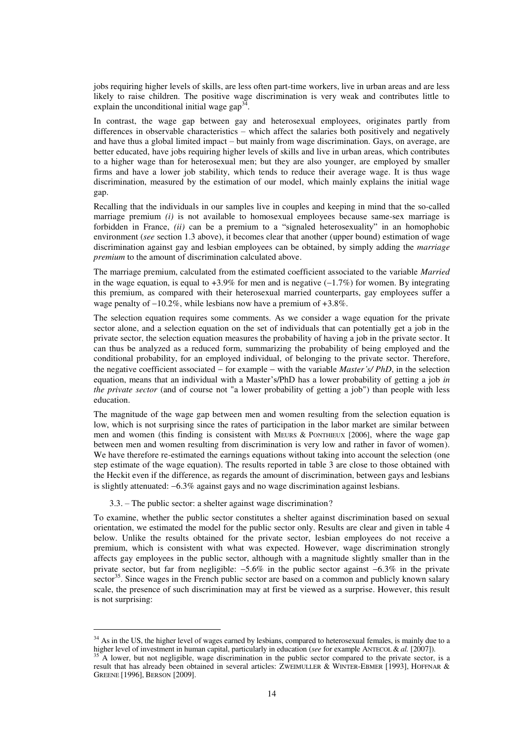jobs requiring higher levels of skills, are less often part-time workers, live in urban areas and are less likely to raise children. The positive wage discrimination is very weak and contributes little to explain the unconditional initial wage  $\text{gap}^{34}$ .

In contrast, the wage gap between gay and heterosexual employees, originates partly from differences in observable characteristics – which affect the salaries both positively and negatively and have thus a global limited impact – but mainly from wage discrimination. Gays, on average, are better educated, have jobs requiring higher levels of skills and live in urban areas, which contributes to a higher wage than for heterosexual men; but they are also younger, are employed by smaller firms and have a lower job stability, which tends to reduce their average wage. It is thus wage discrimination, measured by the estimation of our model, which mainly explains the initial wage gap.

Recalling that the individuals in our samples live in couples and keeping in mind that the so-called marriage premium *(i)* is not available to homosexual employees because same-sex marriage is forbidden in France, *(ii)* can be a premium to a "signaled heterosexuality" in an homophobic environment (*see* section 1.3 above), it becomes clear that another (upper bound) estimation of wage discrimination against gay and lesbian employees can be obtained, by simply adding the *marriage premium* to the amount of discrimination calculated above.

The marriage premium, calculated from the estimated coefficient associated to the variable *Married* in the wage equation, is equal to  $+3.9\%$  for men and is negative ( $-1.7\%$ ) for women. By integrating this premium, as compared with their heterosexual married counterparts, gay employees suffer a wage penalty of  $-10.2\%$ , while lesbians now have a premium of  $+3.8\%$ .

The selection equation requires some comments. As we consider a wage equation for the private sector alone, and a selection equation on the set of individuals that can potentially get a job in the private sector, the selection equation measures the probability of having a job in the private sector. It can thus be analyzed as a reduced form, summarizing the probability of being employed and the conditional probability, for an employed individual, of belonging to the private sector. Therefore, the negative coefficient associated for example with the variable *Master's/ PhD*, in the selection equation, means that an individual with a Master's/PhD has a lower probability of getting a job *in the private sector* (and of course not "a lower probability of getting a job") than people with less education.

The magnitude of the wage gap between men and women resulting from the selection equation is low, which is not surprising since the rates of participation in the labor market are similar between men and women (this finding is consistent with MEURS & PONTHIEUX [2006], where the wage gap between men and women resulting from discrimination is very low and rather in favor of women). We have therefore re-estimated the earnings equations without taking into account the selection (one step estimate of the wage equation). The results reported in table 3 are close to those obtained with the Heckit even if the difference, as regards the amount of discrimination, between gays and lesbians is slightly attenuated:  $-6.3\%$  against gays and no wage discrimination against lesbians.

3.3. – The public sector: a shelter against wage discrimination?

 $\overline{a}$ 

To examine, whether the public sector constitutes a shelter against discrimination based on sexual orientation, we estimated the model for the public sector only. Results are clear and given in table 4 below. Unlike the results obtained for the private sector, lesbian employees do not receive a premium, which is consistent with what was expected. However, wage discrimination strongly affects gay employees in the public sector, although with a magnitude slightly smaller than in the private sector, but far from negligible:  $-5.6\%$  in the public sector against  $-6.3\%$  in the private sector<sup>35</sup>. Since wages in the French public sector are based on a common and publicly known salary scale, the presence of such discrimination may at first be viewed as a surprise. However, this result is not surprising:

<sup>&</sup>lt;sup>34</sup> As in the US, the higher level of wages earned by lesbians, compared to heterosexual females, is mainly due to a higher level of investment in human capital, particularly in education (*see* for example ANTECOL & *al.* [2007]).

<sup>35</sup> A lower, but not negligible, wage discrimination in the public sector compared to the private sector, is a result that has already been obtained in several articles: ZWEIMULLER & WINTER-EBMER [1993], HOFFNAR & GREENE [1996], BERSON [2009].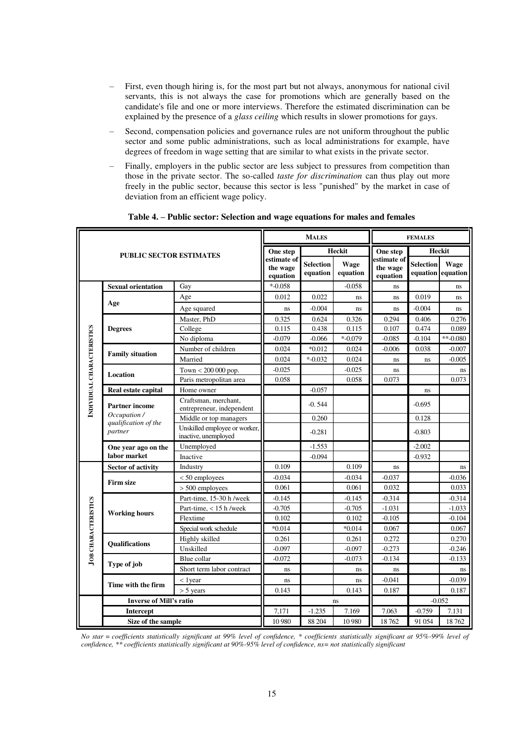- First, even though hiring is, for the most part but not always, anonymous for national civil servants, this is not always the case for promotions which are generally based on the candidate's file and one or more interviews. Therefore the estimated discrimination can be explained by the presence of a *glass ceiling* which results in slower promotions for gays.
- Second, compensation policies and governance rules are not uniform throughout the public sector and some public administrations, such as local administrations for example, have degrees of freedom in wage setting that are similar to what exists in the private sector.
- Finally, employers in the public sector are less subject to pressures from competition than those in the private sector. The so-called *taste for discrimination* can thus play out more freely in the public sector, because this sector is less "punished" by the market in case of deviation from an efficient wage policy.

|                            |                                                                          |                                                       |                                     | <b>MALES</b>                 |                         |                                     | <b>FEMALES</b>   |                           |
|----------------------------|--------------------------------------------------------------------------|-------------------------------------------------------|-------------------------------------|------------------------------|-------------------------|-------------------------------------|------------------|---------------------------|
|                            | <b>PUBLIC SECTOR ESTIMATES</b>                                           |                                                       | One step                            |                              | Heckit                  | One step                            | Heckit           |                           |
|                            |                                                                          |                                                       | estimate of<br>the wage<br>equation | <b>Selection</b><br>equation | <b>Wage</b><br>equation | estimate of<br>the wage<br>equation | <b>Selection</b> | Wage<br>equation equation |
|                            | <b>Sexual orientation</b>                                                | Gay                                                   | $* -0.058$                          |                              | $-0.058$                | ns                                  |                  | ns                        |
|                            |                                                                          | Age                                                   | 0.012                               | 0.022                        | ns                      | ns                                  | 0.019            | ns                        |
|                            | Age                                                                      | Age squared                                           | ns                                  | $-0.004$                     | ns                      | ns                                  | $-0.004$         | ns                        |
|                            |                                                                          | Master, PhD                                           | 0.325                               | 0.624                        | 0.326                   | 0.294                               | 0.406            | 0.276                     |
|                            | <b>Degrees</b>                                                           | College                                               | 0.115                               | 0.438                        | 0.115                   | 0.107                               | 0.474            | 0.089                     |
|                            |                                                                          | No diploma                                            | $-0.079$                            | $-0.066$                     | $* -0.079$              | $-0.085$                            | $-0.104$         | $**$ -0.080               |
|                            | <b>Family situation</b>                                                  | Number of children                                    | 0.024                               | $*0.012$                     | 0.024                   | $-0.006$                            | 0.038            | $-0.007$                  |
|                            |                                                                          | Married                                               | 0.024                               | $* -0.032$                   | 0.024                   | ns                                  | ns               | $-0.005$                  |
|                            | Location                                                                 | Town < 200 000 pop.                                   | $-0.025$                            |                              | $-0.025$                | ns                                  |                  | ns                        |
|                            |                                                                          | Paris metropolitan area                               | 0.058                               |                              | 0.058                   | 0.073                               |                  | 0.073                     |
|                            | Real estate capital                                                      | Home owner                                            |                                     | $-0.057$                     |                         |                                     | ns               |                           |
| INDIVIDUAL CHARACTERISTICS | <b>Partner</b> income<br>Occupation /<br>qualification of the<br>partner | Craftsman, merchant,<br>entrepreneur, independent     |                                     | $-0.544$                     |                         |                                     | $-0.695$         |                           |
|                            |                                                                          | Middle or top managers                                |                                     | 0.260                        |                         |                                     | 0.128            |                           |
|                            |                                                                          | Unskilled employee or worker,<br>inactive, unemployed |                                     | $-0.281$                     |                         |                                     | $-0.803$         |                           |
|                            | One year ago on the                                                      | Unemployed                                            |                                     | $-1.553$                     |                         |                                     | $-2.002$         |                           |
|                            | labor market                                                             | Inactive                                              |                                     | $-0.094$                     |                         |                                     | $-0.932$         |                           |
|                            | <b>Sector of activity</b>                                                | Industry                                              | 0.109                               |                              | 0.109                   | ns                                  |                  | ns                        |
|                            |                                                                          | $< 50$ employees                                      | $-0.034$                            |                              | $-0.034$                | $-0.037$                            |                  | $-0.036$                  |
|                            | <b>Firm size</b>                                                         | $> 500$ employees                                     | 0.061                               |                              | 0.061                   | 0.032                               |                  | 0.033                     |
|                            |                                                                          | Part-time, 15-30 h /week                              | $-0.145$                            |                              | $-0.145$                | $-0.314$                            |                  | $-0.314$                  |
|                            | <b>Working hours</b>                                                     | Part-time, $<$ 15 h /week                             | $-0.705$                            |                              | $-0.705$                | $-1.031$                            |                  | $-1.033$                  |
|                            |                                                                          | Flextime                                              | 0.102                               |                              | 0.102                   | $-0.105$                            |                  | $-0.104$                  |
| <b>JOB CHARACTERISTICS</b> |                                                                          | Special work schedule                                 | $*0.014$                            |                              | $*0.014$                | 0.067                               |                  | 0.067                     |
|                            | <b>Oualifications</b>                                                    | Highly skilled                                        | 0.261                               |                              | 0.261                   | 0.272                               |                  | 0.270                     |
|                            |                                                                          | Unskilled                                             | $-0.097$                            |                              | $-0.097$                | $-0.273$                            |                  | $-0.246$                  |
|                            | Type of job                                                              | Blue collar                                           | $-0.072$                            |                              | $-0.073$                | $-0.134$                            |                  | $-0.133$                  |
|                            |                                                                          | Short term labor contract                             | ns                                  |                              | ns                      | ns                                  |                  | ns                        |
|                            | Time with the firm                                                       | $<$ 1 year                                            | ns                                  |                              | ns                      | $-0.041$                            |                  | $-0.039$                  |
|                            |                                                                          | $> 5$ years                                           | 0.143                               |                              | 0.143                   | 0.187                               |                  | 0.187                     |
|                            | <b>Inverse of Mill's ratio</b>                                           |                                                       |                                     |                              | ns                      |                                     |                  | $-0.052$                  |
|                            | <b>Intercept</b>                                                         |                                                       | 7,171                               | $-1.235$                     | 7.169                   | 7.063                               | $-0.759$         | 7.131                     |
| Size of the sample         |                                                                          | 10 980                                                | 88 204                              | 10 980                       | 18762                   | 91 054                              | 18762            |                           |

**Table 4. – Public sector: Selection and wage equations for males and females** 

*No star = coefficients statistically significant at 99% level of confidence, \* coefficients statistically significant at 95%-99% level of confidence, \*\* coefficients statistically significant at 90%-95% level of confidence, ns= not statistically significant*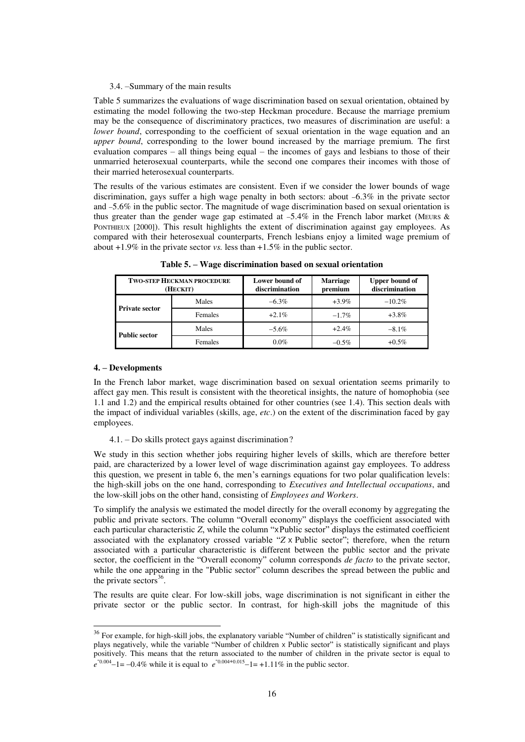#### 3.4. –Summary of the main results

Table 5 summarizes the evaluations of wage discrimination based on sexual orientation, obtained by estimating the model following the two-step Heckman procedure. Because the marriage premium may be the consequence of discriminatory practices, two measures of discrimination are useful: a *lower bound*, corresponding to the coefficient of sexual orientation in the wage equation and an *upper bound*, corresponding to the lower bound increased by the marriage premium. The first evaluation compares – all things being equal – the incomes of gays and lesbians to those of their unmarried heterosexual counterparts, while the second one compares their incomes with those of their married heterosexual counterparts.

The results of the various estimates are consistent. Even if we consider the lower bounds of wage discrimination, gays suffer a high wage penalty in both sectors: about  $-6.3\%$  in the private sector and 5.6% in the public sector. The magnitude of wage discrimination based on sexual orientation is thus greater than the gender wage gap estimated at  $-5.4\%$  in the French labor market (MEURS & PONTHIEUX [2000]). This result highlights the extent of discrimination against gay employees. As compared with their heterosexual counterparts, French lesbians enjoy a limited wage premium of about +1.9% in the private sector *vs.* less than +1.5% in the public sector.

|                       | <b>TWO-STEP HECKMAN PROCEDURE</b><br>(HECKIT) | Lower bound of<br>discrimination | Marriage<br>premium | <b>Upper bound of</b><br>discrimination |  |
|-----------------------|-----------------------------------------------|----------------------------------|---------------------|-----------------------------------------|--|
| <b>Private sector</b> | Males                                         | $-6.3\%$                         | $+3.9\%$            | $-10.2\%$                               |  |
|                       | Females                                       | $+2.1\%$                         | $-1.7\%$            | $+3.8\%$                                |  |
| <b>Public sector</b>  | Males                                         | $-5.6\%$                         | $+2.4%$             | $-8.1\%$                                |  |
|                       | Females                                       | $0.0\%$                          | $-0.5%$             | $+0.5\%$                                |  |

**Table 5. – Wage discrimination based on sexual orientation**

# **4. – Developments**

 $\overline{a}$ 

In the French labor market, wage discrimination based on sexual orientation seems primarily to affect gay men. This result is consistent with the theoretical insights, the nature of homophobia (see 1.1 and 1.2) and the empirical results obtained for other countries (see 1.4). This section deals with the impact of individual variables (skills, age, *etc*.) on the extent of the discrimination faced by gay employees.

4.1. – Do skills protect gays against discrimination?

We study in this section whether jobs requiring higher levels of skills, which are therefore better paid, are characterized by a lower level of wage discrimination against gay employees. To address this question, we present in table 6, the men's earnings equations for two polar qualification levels: the high-skill jobs on the one hand, corresponding to *Executives and Intellectual occupations*, and the low-skill jobs on the other hand, consisting of *Employees and Workers*.

To simplify the analysis we estimated the model directly for the overall economy by aggregating the public and private sectors. The column "Overall economy" displays the coefficient associated with each particular characteristic *Z*, while the column "xPublic sector" displays the estimated coefficient associated with the explanatory crossed variable "*Z* x Public sector"; therefore, when the return associated with a particular characteristic is different between the public sector and the private sector, the coefficient in the "Overall economy" column corresponds *de facto* to the private sector, while the one appearing in the "Public sector" column describes the spread between the public and the private sectors $36$ .

The results are quite clear. For low-skill jobs, wage discrimination is not significant in either the private sector or the public sector. In contrast, for high-skill jobs the magnitude of this

 $36$  For example, for high-skill jobs, the explanatory variable "Number of children" is statistically significant and plays negatively, while the variable "Number of children <sup>X</sup> Public sector" is statistically significant and plays positively. This means that the return associated to the number of children in the private sector is equal to  $e^{-0.004}$ -1= -0.4% while it is equal to  $e^{-0.004+0.015}$ -1= +1.11% in the public sector.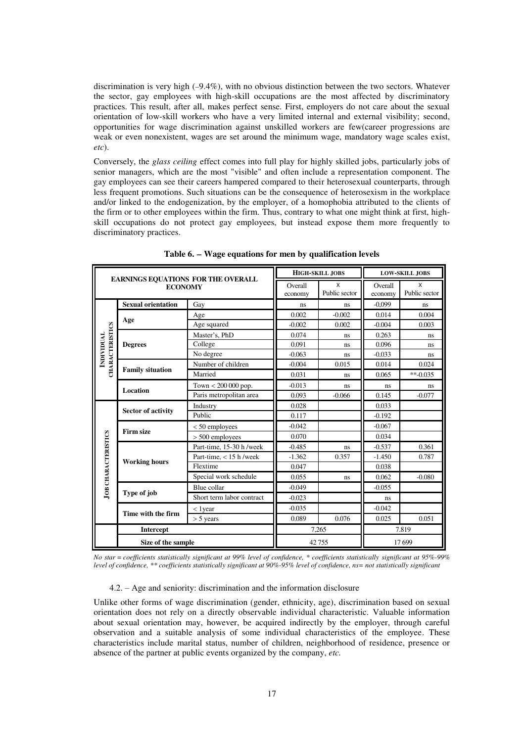discrimination is very high  $(-9.4\%)$ , with no obvious distinction between the two sectors. Whatever the sector, gay employees with high-skill occupations are the most affected by discriminatory practices. This result, after all, makes perfect sense. First, employers do not care about the sexual orientation of low-skill workers who have a very limited internal and external visibility; second, opportunities for wage discrimination against unskilled workers are few(career progressions are weak or even nonexistent, wages are set around the minimum wage, mandatory wage scales exist, *etc*).

Conversely, the *glass ceiling* effect comes into full play for highly skilled jobs, particularly jobs of senior managers, which are the most "visible" and often include a representation component. The gay employees can see their careers hampered compared to their heterosexual counterparts, through less frequent promotions. Such situations can be the consequence of heterosexism in the workplace and/or linked to the endogenization, by the employer, of a homophobia attributed to the clients of the firm or to other employees within the firm. Thus, contrary to what one might think at first, highskill occupations do not protect gay employees, but instead expose them more frequently to discriminatory practices.

|                            |                           |                                    |                    | <b>HIGH-SKILL JOBS</b>        | <b>LOW-SKILL JOBS</b> |                               |  |
|----------------------------|---------------------------|------------------------------------|--------------------|-------------------------------|-----------------------|-------------------------------|--|
|                            | <b>ECONOMY</b>            | EARNINGS EQUATIONS FOR THE OVERALL | Overall<br>economy | $\mathsf{x}$<br>Public sector | Overall<br>economy    | $\mathsf{x}$<br>Public sector |  |
|                            | <b>Sexual orientation</b> | Gay                                | ns                 | <sub>ns</sub>                 | $-0.099$              | ns.                           |  |
|                            |                           | Age                                | 0.002              | $-0.002$                      | 0.014                 | 0.004                         |  |
|                            | Age                       | Age squared                        | $-0.002$           | 0.002                         | $-0.004$              | 0.003                         |  |
| <b>CHARACTERISTICS</b>     |                           | Master's, PhD                      | 0.074              | ns                            | 0.263                 | ns                            |  |
|                            | <b>Degrees</b>            | College                            | 0.091              | ns                            | 0.096                 | ns                            |  |
| <b>INDIVIDUAL</b>          |                           | No degree                          | $-0.063$           | ns                            | $-0.033$              | ns                            |  |
|                            | <b>Family situation</b>   | Number of children                 | $-0.004$           | 0.015                         | 0.014                 | 0.024                         |  |
|                            |                           | Married                            | 0.031              | ns                            | 0.065                 | $*$ $-0.035$                  |  |
|                            | <b>Location</b>           | Town $< 200 000$ pop.              | $-0.013$           | ns                            | ns                    | ns                            |  |
|                            |                           | Paris metropolitan area            | 0.093              | $-0.066$                      | 0.145                 | $-0.077$                      |  |
|                            | <b>Sector of activity</b> | Industry                           | 0.028              |                               | 0.033                 |                               |  |
|                            |                           | Public                             | 0.117              |                               | $-0.192$              |                               |  |
|                            | <b>Firm size</b>          | $< 50$ employees                   | $-0.042$           |                               | $-0.067$              |                               |  |
|                            |                           | $> 500$ employees                  | 0.070              |                               | 0.034                 |                               |  |
|                            |                           | Part-time, 15-30 h /week           | $-0.485$           | ns                            | $-0.537$              | 0.361                         |  |
|                            |                           | Part-time, $<$ 15 h /week          | $-1.362$           | 0.357                         | $-1.450$              | 0.787                         |  |
|                            | <b>Working hours</b>      | Flextime                           | 0.047              |                               | 0.038                 |                               |  |
| <b>JOB CHARACTERISTICS</b> |                           | Special work schedule              | 0.055              | ns                            | 0.062                 | $-0.080$                      |  |
|                            |                           | Blue collar                        | $-0.049$           |                               | $-0.055$              |                               |  |
|                            | Type of job               | Short term labor contract          | $-0.023$           |                               | ns                    |                               |  |
|                            |                           | $<$ 1 year                         | $-0.035$           |                               | $-0.042$              |                               |  |
|                            | Time with the firm        | $> 5$ years                        | 0.089              | 0.076                         | 0.025                 | 0.051                         |  |
|                            | <b>Intercept</b>          |                                    |                    | 7,265                         | 7.819                 |                               |  |
|                            | Size of the sample        |                                    | 42755              | 17699                         |                       |                               |  |

**Table 6. Wage equations for men by qualification levels** 

*No star = coefficients statistically significant at 99% level of confidence, \* coefficients statistically significant at 95%-99% level of confidence, \*\* coefficients statistically significant at 90%-95% level of confidence, ns= not statistically significant* 

4.2. – Age and seniority: discrimination and the information disclosure

Unlike other forms of wage discrimination (gender, ethnicity, age), discrimination based on sexual orientation does not rely on a directly observable individual characteristic. Valuable information about sexual orientation may, however, be acquired indirectly by the employer, through careful observation and a suitable analysis of some individual characteristics of the employee. These characteristics include marital status, number of children, neighborhood of residence, presence or absence of the partner at public events organized by the company, *etc.*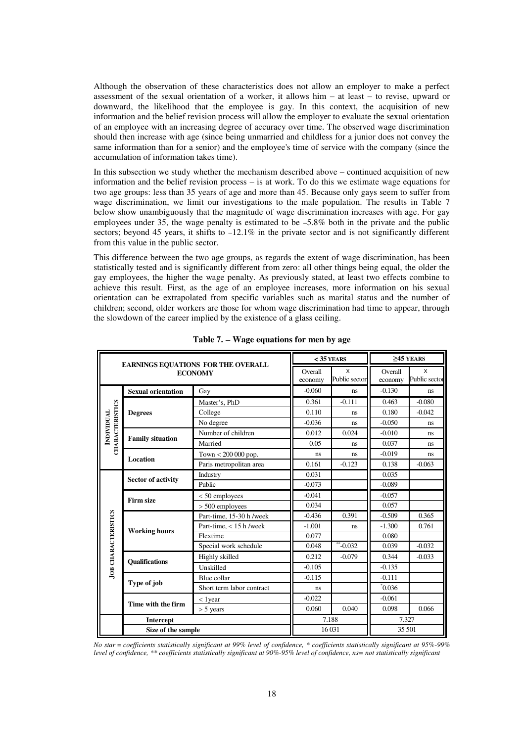Although the observation of these characteristics does not allow an employer to make a perfect assessment of the sexual orientation of a worker, it allows him – at least – to revise, upward or downward, the likelihood that the employee is gay. In this context, the acquisition of new information and the belief revision process will allow the employer to evaluate the sexual orientation of an employee with an increasing degree of accuracy over time. The observed wage discrimination should then increase with age (since being unmarried and childless for a junior does not convey the same information than for a senior) and the employee's time of service with the company (since the accumulation of information takes time).

In this subsection we study whether the mechanism described above – continued acquisition of new information and the belief revision process – is at work. To do this we estimate wage equations for two age groups: less than 35 years of age and more than 45. Because only gays seem to suffer from wage discrimination, we limit our investigations to the male population. The results in Table 7 below show unambiguously that the magnitude of wage discrimination increases with age. For gay employees under 35, the wage penalty is estimated to be 5.8% both in the private and the public sectors; beyond 45 years, it shifts to  $-12.1\%$  in the private sector and is not significantly different from this value in the public sector.

This difference between the two age groups, as regards the extent of wage discrimination, has been statistically tested and is significantly different from zero: all other things being equal, the older the gay employees, the higher the wage penalty. As previously stated, at least two effects combine to achieve this result. First, as the age of an employee increases, more information on his sexual orientation can be extrapolated from specific variables such as marital status and the number of children; second, older workers are those for whom wage discrimination had time to appear, through the slowdown of the career implied by the existence of a glass ceiling.

|                                             |                           | EARNINGS EQUATIONS FOR THE OVERALL |                    | $<$ 35 YEARS       |                    | $>45$ YEARS        |  |
|---------------------------------------------|---------------------------|------------------------------------|--------------------|--------------------|--------------------|--------------------|--|
|                                             |                           | <b>ECONOMY</b>                     | Overall<br>economy | X<br>Public sector | Overall<br>economy | X<br>Public sector |  |
|                                             | <b>Sexual orientation</b> | Gay                                | $-0.060$           | ns                 | $-0.130$           | ns                 |  |
|                                             |                           | Master's, PhD                      | 0.361              | $-0.111$           | 0.463              | $-0.080$           |  |
|                                             | <b>Degrees</b>            | College                            | 0.110              | ns.                | 0.180              | $-0.042$           |  |
| <b>CHARACTERISTICS</b><br><b>INDIVIDUAL</b> |                           | No degree                          | $-0.036$           | ns                 | $-0.050$           | ns                 |  |
|                                             | <b>Family situation</b>   | Number of children                 | 0.012              | 0.024              | $-0.010$           | ns                 |  |
|                                             |                           | Married                            | 0.05               | ns                 | 0.037              | ns                 |  |
|                                             | <b>Location</b>           | Town $< 200 000$ pop.              | ns                 | ns                 | $-0.019$           | ns.                |  |
|                                             |                           | Paris metropolitan area            | 0.161              | $-0.123$           | 0.138              | $-0.063$           |  |
|                                             | <b>Sector of activity</b> | Industry                           | 0.031              |                    | 0.035              |                    |  |
|                                             |                           | Public                             | $-0.073$           |                    | $-0.089$           |                    |  |
|                                             | <b>Firm size</b>          | $< 50$ employees                   | $-0.041$           |                    | $-0.057$           |                    |  |
|                                             |                           | $> 500$ employees                  | 0.034              |                    | 0.057              |                    |  |
|                                             |                           | Part-time, 15-30 h /week           | $-0.436$           | 0.391              | $-0.509$           | 0.365              |  |
|                                             | <b>Working hours</b>      | Part-time, $<$ 15 h /week          | $-1.001$           | ns.                | $-1.300$           | 0.761              |  |
|                                             |                           | Flextime                           | 0.077              |                    | 0.080              |                    |  |
|                                             |                           | Special work schedule              | 0.048              | $*$ -0.032         | 0.039              | $-0.032$           |  |
| <b>JOB CHARACTERISTICS</b>                  | <b>Oualifications</b>     | Highly skilled                     | 0.212              | $-0.079$           | 0.344              | $-0.033$           |  |
|                                             |                           | Unskilled                          | $-0.105$           |                    | $-0.135$           |                    |  |
|                                             |                           | Blue collar                        | $-0.115$           |                    | $-0.111$           |                    |  |
|                                             | Type of job               | Short term labor contract          | ns                 |                    | $\sqrt[3]{0.036}$  |                    |  |
|                                             | Time with the firm        | $<$ 1 year                         | $-0.022$           |                    | $-0.061$           |                    |  |
|                                             |                           | $> 5$ years                        | 0.060              | 0.040              | 0.098              | 0.066              |  |
|                                             | Intercept                 |                                    |                    | 7.188              |                    | 7.327              |  |
|                                             | Size of the sample        |                                    |                    | 16 031             |                    | 35 501             |  |

**Table 7. Wage equations for men by age**

*No star = coefficients statistically significant at 99% level of confidence, \* coefficients statistically significant at 95%-99% level of confidence, \*\* coefficients statistically significant at 90%-95% level of confidence, ns= not statistically significant*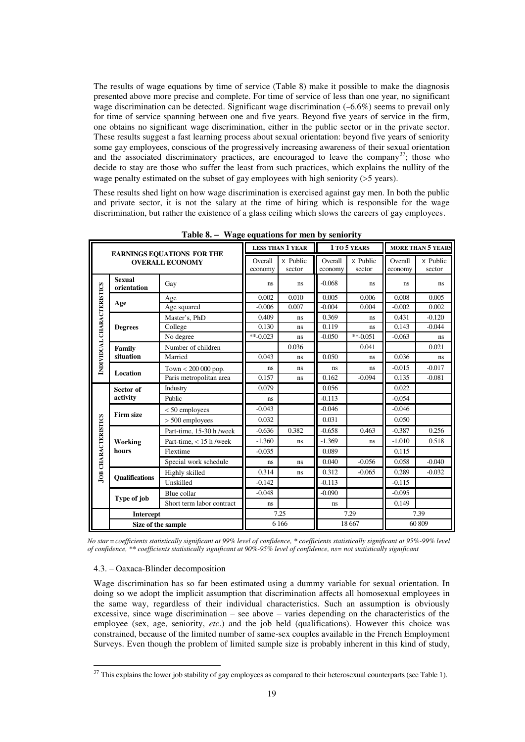The results of wage equations by time of service (Table 8) make it possible to make the diagnosis presented above more precise and complete. For time of service of less than one year, no significant wage discrimination can be detected. Significant wage discrimination  $(-6.6%)$  seems to prevail only for time of service spanning between one and five years. Beyond five years of service in the firm, one obtains no significant wage discrimination, either in the public sector or in the private sector. These results suggest a fast learning process about sexual orientation: beyond five years of seniority some gay employees, conscious of the progressively increasing awareness of their sexual orientation and the associated discriminatory practices, are encouraged to leave the company<sup>37</sup>; those who decide to stay are those who suffer the least from such practices, which explains the nullity of the wage penalty estimated on the subset of gay employees with high seniority ( $>5$  years).

These results shed light on how wage discrimination is exercised against gay men. In both the public and private sector, it is not the salary at the time of hiring which is responsible for the wage discrimination, but rather the existence of a glass ceiling which slows the careers of gay employees.

|                            | <b>EARNINGS EQUATIONS FOR THE</b> |                           |                    | <b>LESS THAN 1 YEAR</b> |                    | 1 TO 5 YEARS       | <b>MORE THAN 5 YEARS</b> |                    |
|----------------------------|-----------------------------------|---------------------------|--------------------|-------------------------|--------------------|--------------------|--------------------------|--------------------|
|                            |                                   | <b>OVERALL ECONOMY</b>    | Overall<br>economy | x Public<br>sector      | Overall<br>economy | x Public<br>sector | Overall<br>economy       | x Public<br>sector |
| INDIVIDUAL CHARACTERISTICS | <b>Sexual</b><br>orientation      | Gay                       | ns                 | ns                      | $-0.068$           | ns.                | ns                       | ns                 |
|                            | Age                               | Age                       | 0.002              | 0.010                   | 0.005              | 0.006              | 0.008                    | 0.005              |
|                            |                                   | Age squared               | $-0.006$           | 0.007                   | $-0.004$           | 0.004              | $-0.002$                 | 0.002              |
|                            |                                   | Master's, PhD             | 0.409              | ns                      | 0.369              | ns                 | 0.431                    | $-0.120$           |
|                            | <b>Degrees</b>                    | College                   | 0.130              | <b>ns</b>               | 0.119              | ns                 | 0.143                    | $-0.044$           |
|                            |                                   | No degree                 | **-0.023           | ns                      | $-0.050$           | $**-0.051$         | $-0.063$                 | ns                 |
|                            | Family                            | Number of children        |                    | 0.036                   |                    | 0.041              |                          | 0.021              |
|                            | situation                         | Married                   | 0.043              | ns                      | 0.050              | ns                 | 0.036                    | ns                 |
|                            | Location                          | Town $< 200 000$ pop.     | ns                 | <b>ns</b>               | ns                 | ns                 | $-0.015$                 | $-0.017$           |
|                            |                                   | Paris metropolitan area   | 0.157              | ns                      | 0.162              | $-0.094$           | 0.135                    | $-0.081$           |
|                            | Sector of                         | Industry                  | 0.079              |                         | 0.056              |                    | 0.022                    |                    |
|                            | activity                          | Public                    | ns                 |                         | $-0.113$           |                    | $-0.054$                 |                    |
|                            |                                   | $< 50$ employees          | $-0.043$           |                         | $-0.046$           |                    | $-0.046$                 |                    |
| <b>JOB CHARACTERISTICS</b> | <b>Firm size</b>                  | $> 500$ employees         | 0.032              |                         | 0.031              |                    | 0.050                    |                    |
|                            |                                   | Part-time, 15-30 h /week  | $-0.636$           | 0.382                   | $-0.658$           | 0.463              | $-0.387$                 | 0.256              |
|                            | Working                           | Part-time, $<$ 15 h /week | $-1.360$           | ns                      | $-1.369$           | ns                 | $-1.010$                 | 0.518              |
|                            | hours                             | Flextime                  | $-0.035$           |                         | 0.089              |                    | 0.115                    |                    |
|                            |                                   | Special work schedule     | ns                 | ns                      | 0.040              | $-0.056$           | 0.058                    | $-0.040$           |
|                            |                                   | Highly skilled            | 0.314              | ns                      | 0.312              | $-0.065$           | 0.289                    | $-0.032$           |
|                            | <b>Oualifications</b>             | Unskilled                 | $-0.142$           |                         | $-0.113$           |                    | $-0.115$                 |                    |
|                            |                                   | Blue collar               | $-0.048$           |                         | $-0.090$           |                    | $-0.095$                 |                    |
|                            | Type of job                       | Short term labor contract | ns                 |                         | ns                 |                    | 0.149                    |                    |
|                            | <b>Intercept</b>                  |                           | 7.25               |                         | 7.29               |                    | 7.39                     |                    |
|                            |                                   | Size of the sample        |                    | 6 1 6 6                 |                    | 18 6 67            | 60 809                   |                    |

**Table 8. Wage equations for men by seniority** 

*No star=coefficients statistically significant at 99% level of confidence, \* coefficients statistically significant at 95%-99% level of confidence, \*\* coefficients statistically significant at 90%-95% level of confidence, ns= not statistically significant* 

### 4.3. – Oaxaca-Blinder decomposition

 $\overline{a}$ 

Wage discrimination has so far been estimated using a dummy variable for sexual orientation. In doing so we adopt the implicit assumption that discrimination affects all homosexual employees in the same way, regardless of their individual characteristics. Such an assumption is obviously excessive, since wage discrimination – see above – varies depending on the characteristics of the employee (sex, age, seniority, *etc*.) and the job held (qualifications). However this choice was constrained, because of the limited number of same-sex couples available in the French Employment Surveys. Even though the problem of limited sample size is probably inherent in this kind of study,

 $37$  This explains the lower job stability of gay employees as compared to their heterosexual counterparts (see Table 1).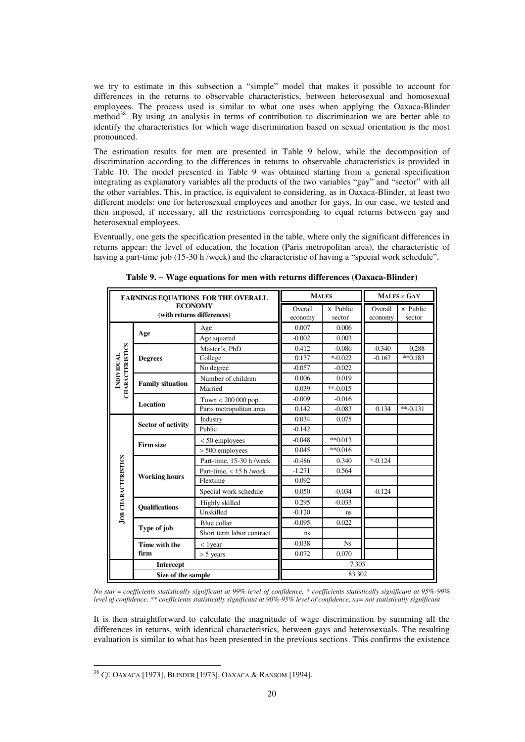we try to estimate in this subsection a "simple" model that makes it possible to account for differences in the returns to observable characteristics, between heterosexual and homosexual employees. The process used is similar to what one uses when applying the Oaxaca-Blinder method<sup>38</sup>. By using an analysis in terms of contribution to discrimination we are better able to identify the characteristics for which wage discrimination based on sexual orientation is the most pronounced.

The estimation results for men are presented in Table 9 below, while the decomposition of discrimination according to the differences in returns to observable characteristics is provided in Table 10. The model presented in Table 9 was obtained starting from a general specification integrating as explanatory variables all the products of the two variables "gay" and "sector" with all the other variables. This, in practice, is equivalent to considering, as in Oaxaca-Blinder, at least two different models: one for heterosexual employees and another for gays. In our case, we tested and then imposed, if necessary, all the restrictions corresponding to equal returns between gay and heterosexual employees.

Eventually, one gets the specification presented in the table, where only the significant differences in returns appear: the level of education, the location (Paris metropolitan area), the characteristic of having a part-time job (15-30 h /week) and the characteristic of having a "special work schedule".

|                            |                           | EARNINGS EQUATIONS FOR THE OVERALL | <b>MALES</b> |            | $MALES \times GAY$ |            |
|----------------------------|---------------------------|------------------------------------|--------------|------------|--------------------|------------|
|                            |                           | <b>ECONOMY</b>                     | Overall      | x Public   | Overall            | x Public   |
|                            |                           | (with returns differences)         | economy      | sector     | economy            | sector     |
|                            |                           | Age                                | 0.007        | 0.006      |                    |            |
|                            | Age                       | Age squared                        | $-0.002$     | 0.003      |                    |            |
| <b>CHARACTERISTICS</b>     |                           | Master's, PhD                      | 0.412        | $-0.086$   | $-0.340$           | 0,288      |
|                            | <b>Degrees</b>            | College                            | 0.137        | $* -0.022$ | $-0.167$           | $*$ 0.183  |
|                            |                           | No degree                          | $-0.057$     | $-0.022$   |                    |            |
| <b>INDIVIDUAL</b>          | <b>Family situation</b>   | Number of children                 | 0.006        | 0.019      |                    |            |
|                            |                           | Married                            | 0.039        | $**-0.015$ |                    |            |
|                            | Location                  | Town $< 200 000$ pop.              | $-0.009$     | $-0.016$   |                    |            |
|                            |                           | Paris metropolitan area            | 0.142        | $-0.083$   | 0.134              | $*$ -0.131 |
|                            |                           | Industry                           | 0.034        | 0.075      |                    |            |
|                            | <b>Sector of activity</b> | Public                             | $-0.142$     |            |                    |            |
|                            | <b>Firm size</b>          | $< 50$ employees                   | $-0.048$     | $*$ *0.013 |                    |            |
|                            |                           | $> 500$ employees                  | 0.045        | $*$ 0.016  |                    |            |
|                            |                           | Part-time, 15-30 h /week           | $-0.486$     | 0.340      | $* -0.124$         |            |
|                            |                           | Part-time, $<$ 15 h /week          | $-1.271$     | 0.564      |                    |            |
|                            | <b>Working hours</b>      | Flextime                           | 0.092        |            |                    |            |
| <b>JOB CHARACTERISTICS</b> |                           | Special work schedule              | 0.050        | $-0.034$   | $-0.124$           |            |
|                            |                           | Highly skilled                     | 0.295        | $-0.033$   |                    |            |
|                            | <b>Oualifications</b>     | Unskilled                          | $-0.120$     | ns         |                    |            |
|                            |                           | Blue collar                        | $-0.095$     | 0.022      |                    |            |
|                            | Type of job               | Short term labor contract          | ns           |            |                    |            |
|                            | Time with the             | $<$ 1 year                         | $-0.038$     | <b>Ns</b>  |                    |            |
|                            | firm                      | $> 5$ years                        | 0.072        | 0.070      |                    |            |
|                            | <b>Intercept</b>          |                                    |              | 7.303      |                    |            |
|                            | Size of the sample        |                                    |              | 83 302     |                    |            |

**Table 9. Wage equations for men with returns differences (Oaxaca-Blinder)**

*No star = coefficients statistically significant at 99% level of confidence, \* coefficients statistically significant at 95%-99% level of confidence, \*\* coefficients statistically significant at 90%-95% level of confidence, ns= not statistically significant* 

It is then straightforward to calculate the magnitude of wage discrimination by summing all the differences in returns, with identical characteristics, between gays and heterosexuals. The resulting evaluation is similar to what has been presented in the previous sections. This confirms the existence

 $\overline{a}$ <sup>38</sup> *Cf*. OAXACA [1973], BLINDER [1973], OAXACA & RANSOM [1994].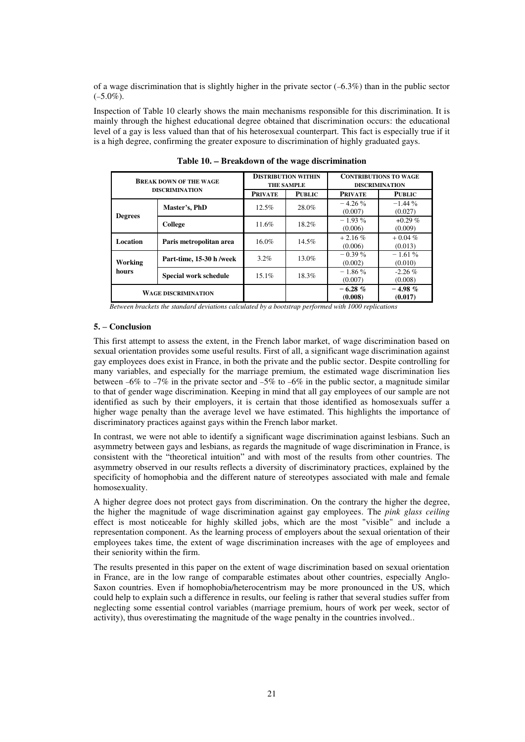of a wage discrimination that is slightly higher in the private sector  $(-6.3\%)$  than in the public sector  $(-5.0\%)$ .

Inspection of Table 10 clearly shows the main mechanisms responsible for this discrimination. It is mainly through the highest educational degree obtained that discrimination occurs: the educational level of a gay is less valued than that of his heterosexual counterpart. This fact is especially true if it is a high degree, confirming the greater exposure to discrimination of highly graduated gays.

|                 | <b>BREAK DOWN OF THE WAGE</b><br><b>DISCRIMINATION</b> |                                 | <b>DISTRIBUTION WITHIN</b><br><b>THE SAMPLE</b> | <b>CONTRIBUTIONS TO WAGE</b><br><b>DISCRIMINATION</b> |                      |  |
|-----------------|--------------------------------------------------------|---------------------------------|-------------------------------------------------|-------------------------------------------------------|----------------------|--|
|                 |                                                        | <b>PUBLIC</b><br><b>PRIVATE</b> |                                                 | <b>PRIVATE</b>                                        | <b>PUBLIC</b>        |  |
|                 | Master's, PhD                                          | 12.5%                           | 28.0%                                           | $-4.26\%$<br>(0.007)                                  | $-1.44\%$<br>(0.027) |  |
| <b>Degrees</b>  | College                                                | 11.6%                           | 18.2%                                           | $-1.93\%$<br>(0.006)                                  | $+0.29\%$<br>(0.009) |  |
| <b>Location</b> | Paris metropolitan area                                | $16.0\%$                        | $14.5\%$                                        | $+2.16%$<br>(0.006)                                   | $+0.04%$<br>(0.013)  |  |
| Working         | Part-time, 15-30 h /week                               | $3.2\%$                         | $13.0\%$                                        | $-0.39\%$<br>(0.002)                                  | $-1.61%$<br>(0.010)  |  |
| hours           | <b>Special work schedule</b>                           | $15.1\%$                        | 18.3%                                           | $-1.86\%$<br>(0.007)                                  | $-2.26\%$<br>(0.008) |  |
|                 | <b>WAGE DISCRIMINATION</b>                             |                                 |                                                 | $-6.28 \%$<br>(0.008)                                 | $-4.98\%$<br>(0.017) |  |

**Table 10. Breakdown of the wage discrimination** 

 *Between brackets the standard deviations calculated by a bootstrap performed with 1000 replications* 

# **5. – Conclusion**

This first attempt to assess the extent, in the French labor market, of wage discrimination based on sexual orientation provides some useful results. First of all, a significant wage discrimination against gay employees does exist in France, in both the private and the public sector. Despite controlling for many variables, and especially for the marriage premium, the estimated wage discrimination lies between  $-6\%$  to  $-7\%$  in the private sector and  $-5\%$  to  $-6\%$  in the public sector, a magnitude similar to that of gender wage discrimination. Keeping in mind that all gay employees of our sample are not identified as such by their employers, it is certain that those identified as homosexuals suffer a higher wage penalty than the average level we have estimated. This highlights the importance of discriminatory practices against gays within the French labor market.

In contrast, we were not able to identify a significant wage discrimination against lesbians. Such an asymmetry between gays and lesbians, as regards the magnitude of wage discrimination in France, is consistent with the "theoretical intuition" and with most of the results from other countries. The asymmetry observed in our results reflects a diversity of discriminatory practices, explained by the specificity of homophobia and the different nature of stereotypes associated with male and female homosexuality.

A higher degree does not protect gays from discrimination. On the contrary the higher the degree, the higher the magnitude of wage discrimination against gay employees. The *pink glass ceiling* effect is most noticeable for highly skilled jobs, which are the most "visible" and include a representation component. As the learning process of employers about the sexual orientation of their employees takes time, the extent of wage discrimination increases with the age of employees and their seniority within the firm.

The results presented in this paper on the extent of wage discrimination based on sexual orientation in France, are in the low range of comparable estimates about other countries, especially Anglo-Saxon countries. Even if homophobia/heterocentrism may be more pronounced in the US, which could help to explain such a difference in results, our feeling is rather that several studies suffer from neglecting some essential control variables (marriage premium, hours of work per week, sector of activity), thus overestimating the magnitude of the wage penalty in the countries involved..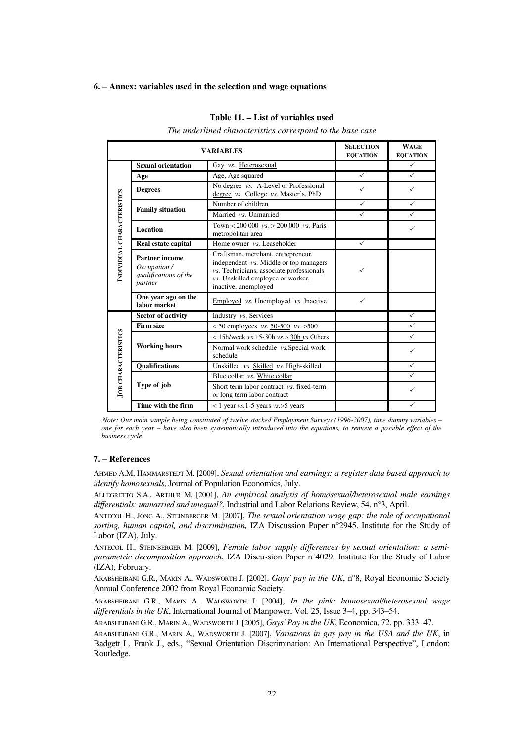#### **6. – Annex: variables used in the selection and wage equations**

#### **Table 11. List of variables used**

*The underlined characteristics correspond to the base case*

|                            |                                                                           | <b>VARIABLES</b>                                                                     | <b>SELECTION</b><br><b>EQUATION</b> | <b>WAGE</b><br><b>EQUATION</b> |
|----------------------------|---------------------------------------------------------------------------|--------------------------------------------------------------------------------------|-------------------------------------|--------------------------------|
|                            | <b>Sexual orientation</b>                                                 | Gay vs. Heterosexual                                                                 |                                     | $\checkmark$                   |
|                            | Age                                                                       | Age, Age squared                                                                     | $\checkmark$                        | $\checkmark$                   |
|                            | <b>Degrees</b>                                                            | No degree <i>vs.</i> A-Level or Professional<br>degree vs. College vs. Master's, PhD | ✓                                   | ✓                              |
|                            | <b>Family situation</b>                                                   | Number of children                                                                   | $\checkmark$                        | $\checkmark$                   |
|                            |                                                                           | Married vs. Unmarried                                                                | $\checkmark$                        | ✓                              |
| INDIVIDUAL CHARACTERISTICS | <b>Location</b>                                                           | Town < 200 000 $vs. > 200 000$ vs. Paris<br>metropolitan area                        |                                     | ✓                              |
|                            | Real estate capital                                                       | Home owner <i>vs.</i> Leaseholder                                                    | $\checkmark$                        |                                |
|                            | <b>Partner income</b><br>Occupation /<br>qualifications of the<br>partner |                                                                                      |                                     |                                |
|                            | One year ago on the<br>labor market                                       | Employed vs. Unemployed vs. Inactive                                                 |                                     |                                |
|                            | <b>Sector of activity</b>                                                 | Industry vs. Services                                                                |                                     | $\checkmark$                   |
|                            | <b>Firm size</b>                                                          | $< 50$ employees vs. $50-500$ vs. $> 500$                                            |                                     |                                |
|                            |                                                                           | $< 15$ h/week vs. 15-30h vs. > 30h vs. Others                                        |                                     |                                |
| <b>JOB CHARACTERISTICS</b> | <b>Working hours</b>                                                      | Normal work schedule vs. Special work<br>schedule                                    |                                     | $\checkmark$                   |
|                            | <b>Qualifications</b>                                                     | Unskilled vs. Skilled vs. High-skilled                                               |                                     | ✓                              |
|                            |                                                                           | Blue collar vs. White collar                                                         |                                     |                                |
|                            | Type of job                                                               | Short term labor contract vs. fixed-term<br>or long term labor contract              |                                     | ✓                              |
|                            | Time with the firm                                                        | $< 1$ year vs. 1-5 years vs. > 5 years                                               |                                     | ✓                              |

 *Note: Our main sample being constituted of twelve stacked Employment Surveys (1996-2007), time dummy variables* – *one for each year* – *have also been systematically introduced into the equations, to remove a possible effect of the business cycle* 

#### **7. – References**

AHMED A.M, HAMMARSTEDT M. [2009], *Sexual orientation and earnings: a register data based approach to identify homosexuals*, Journal of Population Economics, July.

ALLEGRETTO S.A., ARTHUR M. [2001], *An empirical analysis of homosexual/heterosexual male earnings differentials: unmarried and unequal?*, Industrial and Labor Relations Review, 54, n°3, April.

ANTECOL H., JONG A., STEINBERGER M. [2007], *The sexual orientation wage gap: the role of occupational sorting, human capital, and discrimination,* IZA Discussion Paper n°2945, Institute for the Study of Labor (IZA), July.

ANTECOL H., STEINBERGER M. [2009], *Female labor supply differences by sexual orientation: a semiparametric decomposition approach*, IZA Discussion Paper n°4029, Institute for the Study of Labor (IZA), February.

ARABSHEIBANI G.R., MARIN A., WADSWORTH J. [2002], *Gays' pay in the UK*, n°8, Royal Economic Society Annual Conference 2002 from Royal Economic Society.

ARABSHEIBANI G.R., MARIN A., WADSWORTH J. [2004], *In the pink: homosexual/heterosexual wage differentials in the UK*, International Journal of Manpower, Vol. 25, Issue 3–4, pp. 343–54.

ARABSHEIBANI G.R., MARIN A., WADSWORTH J. [2005], *Gays' Pay in the UK*, Economica, 72, pp. 333–47.

ARABSHEIBANI G.R., MARIN A., WADSWORTH J. [2007], *Variations in gay pay in the USA and the UK*, in Badgett L. Frank J., eds., "Sexual Orientation Discrimination: An International Perspective", London: Routledge.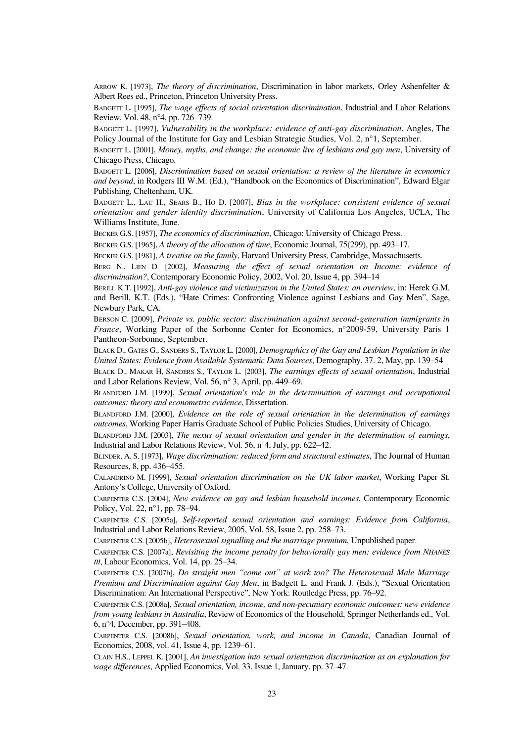ARROW K. [1973], *The theory of discrimination*, Discrimination in labor markets, Orley Ashenfelter & Albert Rees ed., Princeton, Princeton University Press.

BADGETT L. [1995], *The wage effects of social orientation discrimination*, Industrial and Labor Relations Review, Vol. 48, n°4, pp. 726–739.

BADGETT L. [1997], *Vulnerability in the workplace: evidence of anti-gay discrimination*, Angles, The Policy Journal of the Institute for Gay and Lesbian Strategic Studies, Vol. 2, n°1, September.

BADGETT L. [2001], *Money, myths, and change: the economic live of lesbians and gay men*, University of Chicago Press, Chicago.

BADGETT L. [2006], *Discrimination based on sexual orientation: a review of the literature in economics and beyond*, in Rodgers III W.M. (Ed.), "Handbook on the Economics of Discrimination", Edward Elgar Publishing, Cheltenham, UK.

BADGETT L., LAU H., SEARS B., HO D. [2007], *Bias in the workplace: consistent evidence of sexual orientation and gender identity discrimination*, University of California Los Angeles, UCLA, The Williams Institute, June.

BECKER G.S. [1957], *The economics of discrimination*, Chicago: University of Chicago Press.

BECKER G.S. [1965], *A theory of the allocation of time*, Economic Journal, 75(299), pp. 493–17.

BECKER G.S. [1981], *A treatise on the family*, Harvard University Press, Cambridge, Massachusetts.

BERG N., LIEN D. [2002], *Measuring the effect of sexual orientation on Income: evidence of discrimination?*, Contemporary Economic Policy, 2002, Vol. 20, Issue 4, pp. 394–14

BERILL K.T. [1992], *Anti-gay violence and victimization in the United States: an overview*, in: Herek G.M. and Berill, K.T. (Eds.), "Hate Crimes: Confronting Violence against Lesbians and Gay Men", Sage, Newbury Park, CA.

BERSON C. [2009], *Private vs. public sector: discrimination against second-generation immigrants in France*, Working Paper of the Sorbonne Center for Economics, n°2009-59, University Paris 1 Pantheon-Sorbonne, September.

BLACK D., GATES G., SANDERS S., TAYLOR L. [2000], *Demographics of the Gay and Lesbian Population in the United States: Evidence from Available Systematic Data Sources*, Demography, 37. 2, May, pp. 139–54

BLACK D., MAKAR H, SANDERS S., TAYLOR L. [2003], *The earnings effects of sexual orientation*, Industrial and Labor Relations Review, Vol. 56, n° 3, April, pp. 449–69.

BLANDFORD J.M. [1999], *Sexual orientation's role in the determination of earnings and occupational outcomes: theory and econometric evidence*, Dissertation.

BLANDFORD J.M. [2000], *Evidence on the role of sexual orientation in the determination of earnings outcomes*, Working Paper Harris Graduate School of Public Policies Studies, University of Chicago.

BLANDFORD J.M. [2003], *The nexus of sexual orientation and gender in the determination of earnings*, Industrial and Labor Relations Review, Vol. 56, n°4, July, pp. 622–42.

BLINDER, A. S. [1973], *Wage discrimination: reduced form and structural estimates*, The Journal of Human Resources, 8, pp. 436–455.

CALANDRINO M. [1999], *Sexual orientation discrimination on the UK labor market*, Working Paper St. Antony's College, University of Oxford.

CARPENTER C.S. [2004], *New evidence on gay and lesbian household incomes*, Contemporary Economic Policy, Vol. 22, n°1, pp. 78–94.

CARPENTER C.S. [2005a], *Self-reported sexual orientation and earnings: Evidence from California*, Industrial and Labor Relations Review, 2005, Vol. 58, Issue 2, pp. 258–73.

CARPENTER C.S. [2005b], *Heterosexual signalling and the marriage premium*, Unpublished paper.

CARPENTER C.S. [2007a], *Revisiting the income penalty for behaviorally gay men: evidence from NHANES III*, Labour Economics, Vol. 14, pp. 25–34.

CARPENTER C.S. [2007b], *Do straight men "come out" at work too? The Heterosexual Male Marriage Premium and Discrimination against Gay Men*, in Badgett L. and Frank J. (Eds.), "Sexual Orientation Discrimination: An International Perspective", New York: Routledge Press, pp. 76–92.

CARPENTER C.S. [2008a], *Sexual orientation, income, and non-pecuniary economic outcomes: new evidence from young lesbians in Australia*, Review of Economics of the Household, Springer Netherlands ed., Vol. 6, n°4, December, pp. 391–408.

CARPENTER C.S. [2008b], *Sexual orientation, work, and income in Canada*, Canadian Journal of Economics, 2008, vol. 41, Issue 4, pp. 1239–61.

CLAIN H.S., LEPPEL K. [2001], *An investigation into sexual orientation discrimination as an explanation for wage differences*, Applied Economics, Vol. 33, Issue 1, January, pp. 37–47.